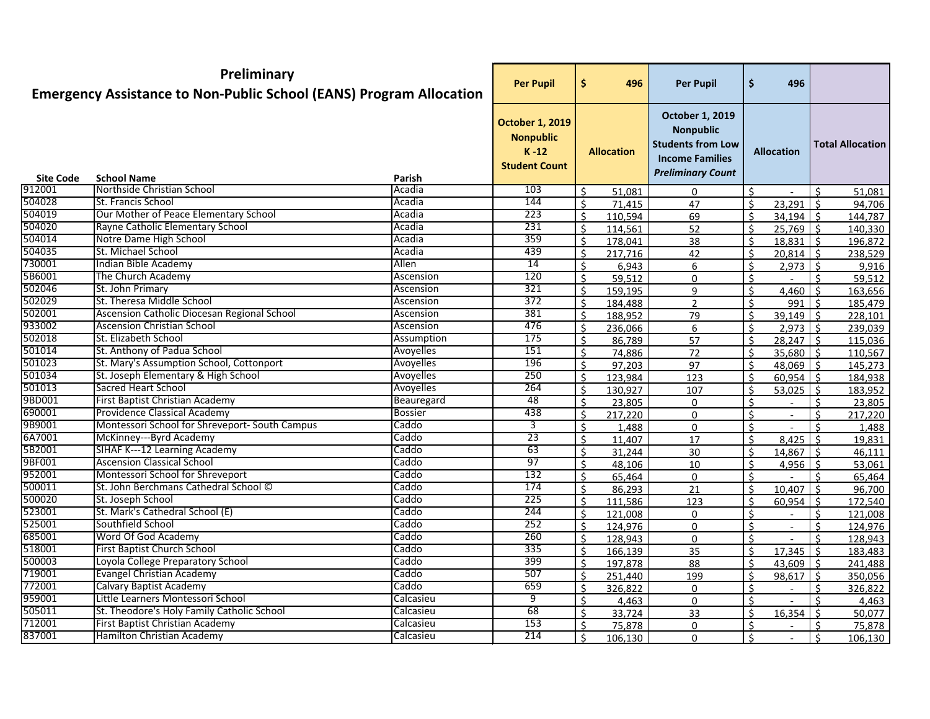|                  | Preliminary<br><b>Emergency Assistance to Non-Public School (EANS) Program Allocation</b> |                  | <b>Per Pupil</b>                                                               | \$<br>496          | <b>Per Pupil</b>                                                                                                             | $\ddot{\bm{\zeta}}$ | 496                 |                     |                         |
|------------------|-------------------------------------------------------------------------------------------|------------------|--------------------------------------------------------------------------------|--------------------|------------------------------------------------------------------------------------------------------------------------------|---------------------|---------------------|---------------------|-------------------------|
|                  |                                                                                           |                  | <b>October 1, 2019</b><br><b>Nonpublic</b><br>$K - 12$<br><b>Student Count</b> | <b>Allocation</b>  | <b>October 1, 2019</b><br><b>Nonpublic</b><br><b>Students from Low</b><br><b>Income Families</b><br><b>Preliminary Count</b> |                     | <b>Allocation</b>   |                     | <b>Total Allocation</b> |
| <b>Site Code</b> | <b>School Name</b>                                                                        | Parish           |                                                                                |                    |                                                                                                                              |                     |                     |                     |                         |
| 912001           | Northside Christian School                                                                | Acadia           | 103                                                                            | Ś.<br>51,081       | 0                                                                                                                            | \$                  |                     | Ŝ.                  | 51,081                  |
| 504028           | St. Francis School                                                                        | Acadia           | 144                                                                            | \$<br>71,415       | 47                                                                                                                           | \$                  | 23,291              | $\vert$ \$          | 94,706                  |
| 504019<br>504020 | Our Mother of Peace Elementary School                                                     | Acadia           | 223                                                                            | $\zeta$<br>110,594 | 69                                                                                                                           | Ŝ.                  | $34,194$ \$         |                     | 144,787                 |
| 504014           | Rayne Catholic Elementary School                                                          | Acadia<br>Acadia | 231                                                                            | Ŝ.<br>114,561      | 52                                                                                                                           | $\mathsf{S}$        | $25,769$ \$         |                     | 140,330                 |
| 504035           | Notre Dame High School<br>St. Michael School                                              | Acadia           | 359<br>439                                                                     | $\zeta$<br>178,041 | 38                                                                                                                           | $\zeta$             | $18,831$ \$         |                     | 196,872                 |
| 730001           | Indian Bible Academy                                                                      | Allen            | 14                                                                             | $\zeta$<br>217,716 | 42                                                                                                                           | $\zeta$             | $20,814$ \$         |                     | 238,529                 |
| 5B6001           | The Church Academy                                                                        | Ascension        | 120                                                                            | Ŝ.<br>6,943        | 6                                                                                                                            | \$                  | $2,973$ \$          |                     | 9,916                   |
| 502046           | St. John Primary                                                                          | Ascension        | 321                                                                            | Ś<br>59,512        | 0                                                                                                                            | Ś                   |                     |                     | 59,512                  |
| 502029           | St. Theresa Middle School                                                                 | Ascension        | 372                                                                            | \$<br>159,195      | 9                                                                                                                            | Ś.                  | 4,460               |                     | 163,656                 |
| 502001           | Ascension Catholic Diocesan Regional School                                               | Ascension        | 381                                                                            | $\zeta$<br>184,488 | $\overline{2}$                                                                                                               | \$                  | 991                 | $\mathsf{\dot{S}}$  | 185,479                 |
| 933002           | <b>Ascension Christian School</b>                                                         | Ascension        | 476                                                                            | $\zeta$<br>188,952 | 79                                                                                                                           | \$                  | $39,149$ \$         |                     | 228,101                 |
| 502018           | St. Elizabeth School                                                                      | Assumption       | 175                                                                            | $\zeta$<br>236,066 | 6                                                                                                                            | Ŝ.                  | $2,973$ \$          |                     | 239,039                 |
| 501014           | St. Anthony of Padua School                                                               | Avoyelles        | 151                                                                            | \$<br>86,789       | 57                                                                                                                           | Ŝ.                  | $28,247$ \$         |                     | 115,036                 |
| 501023           | St. Mary's Assumption School, Cottonport                                                  | Avoyelles        | 196                                                                            | Ś.<br>74,886       | 72                                                                                                                           | \$                  | 35,680 \$           |                     | 110,567                 |
| 501034           | St. Joseph Elementary & High School                                                       | Avoyelles        | 250                                                                            | $\zeta$<br>97,203  | 97                                                                                                                           | $\zeta$             | $48,069$ \$         |                     | 145,273                 |
| 501013           | <b>Sacred Heart School</b>                                                                | Avoyelles        | 264                                                                            | \$<br>123,984      | 123                                                                                                                          | \$                  | $60,954$ \$         |                     | 184,938                 |
| 9BD001           | <b>First Baptist Christian Academy</b>                                                    | Beauregard       | $\overline{48}$                                                                | \$<br>130,927      | 107                                                                                                                          | \$                  | $53,025$ \$         |                     | 183,952                 |
| 690001           | Providence Classical Academy                                                              | <b>Bossier</b>   | 438                                                                            | Ś.<br>23,805       | $\mathbf{0}$                                                                                                                 | \$                  |                     |                     | 23,805                  |
| 9B9001           | Montessori School for Shreveport- South Campus                                            | Caddo            | 3                                                                              | \$<br>217,220      | $\Omega$                                                                                                                     | \$                  | $\blacksquare$      | Ŝ.                  | 217,220                 |
| 6A7001           | McKinney---Byrd Academy                                                                   | Caddo            | 23                                                                             | $\zeta$<br>1,488   | $\Omega$                                                                                                                     | \$                  |                     | $\zeta$             | 1,488                   |
| 5B2001           | SIHAF K---12 Learning Academy                                                             | Caddo            | 63                                                                             | Ŝ.<br>11,407       | 17                                                                                                                           | $\mathsf{S}$        | $8,425$ \$          |                     | 19,831                  |
| 9BF001           | <b>Ascension Classical School</b>                                                         | Caddo            | 97                                                                             | \$<br>31,244       | 30                                                                                                                           | $\mathsf{S}$        | 14,867              | $\vert$ \$          | 46,111                  |
| 952001           | Montessori School for Shreveport                                                          | Caddo            | 132                                                                            | Ŝ.<br>48,106       | 10                                                                                                                           | Ś.                  | 4,956 $\frac{1}{5}$ |                     | 53,061                  |
| 500011           | St. John Berchmans Cathedral School ©                                                     | Caddo            | 174                                                                            | $\zeta$<br>65,464  | 0                                                                                                                            | $\zeta$             |                     |                     | 65,464                  |
| 500020           | St. Joseph School                                                                         | Caddo            | 225                                                                            | \$<br>86,293       | 21                                                                                                                           | Ŝ.                  | 10,407              | -Ś                  | 96,700                  |
| 523001           | St. Mark's Cathedral School (E)                                                           | Caddo            | 244                                                                            | \$<br>111,586      | 123                                                                                                                          | \$                  | 60,954              | $\ddot{\mathsf{s}}$ | 172,540                 |
| 525001           | Southfield School                                                                         | Caddo            | 252                                                                            | \$<br>121,008      | 0                                                                                                                            | \$                  |                     | Ś                   | 121,008                 |
| 685001           | Word Of God Academy                                                                       | Caddo            | 260                                                                            | Ś.<br>124,976      | $\Omega$                                                                                                                     | Ŝ.                  | $\blacksquare$      | ς.                  | 124,976                 |
| 518001           | <b>First Baptist Church School</b>                                                        | Caddo            | 335                                                                            | $\zeta$<br>128,943 | 0                                                                                                                            | \$                  |                     | Ś.                  | 128,943                 |
| 500003           | Loyola College Preparatory School                                                         | Caddo            | 399                                                                            | \$<br>166,139      | 35                                                                                                                           | \$                  | $17,345$ \$         |                     | 183,483                 |
| 719001           | <b>Evangel Christian Academy</b>                                                          | Caddo            | 507                                                                            | Ŝ.<br>197,878      | 88                                                                                                                           | Ŝ.                  | $43,609$ \$         |                     | 241,488                 |
| 772001           | Calvary Baptist Academy                                                                   | Caddo            | 659                                                                            | Ŝ.<br>251,440      | 199                                                                                                                          | \$                  | $98,617$ \$         |                     | 350,056                 |
| 959001           | Little Learners Montessori School                                                         | Calcasieu        | $\overline{9}$                                                                 | Ŝ.<br>326,822      | 0                                                                                                                            | Ŝ.                  | $\sim$              | Ŝ.                  | 326,822                 |
| 505011           | St. Theodore's Holy Family Catholic School                                                | Calcasieu        | 68                                                                             | \$<br>4,463        | 0                                                                                                                            | Ŝ.                  | $\sim$              | Ŝ.                  | 4,463                   |
| 712001           | First Baptist Christian Academy                                                           | Calcasieu        | 153                                                                            | \$<br>33,724       | 33                                                                                                                           | Ŝ.                  | $16,354$ \$         |                     | 50,077                  |
| 837001           | Hamilton Christian Academy                                                                | Calcasieu        | 214                                                                            | \$<br>75,878       | 0                                                                                                                            | Ś<br>Ŝ.             |                     |                     | 75,878                  |
|                  |                                                                                           |                  |                                                                                | Ŝ.<br>106,130      | 0                                                                                                                            |                     | $\sim$              | Ŝ.                  | 106,130                 |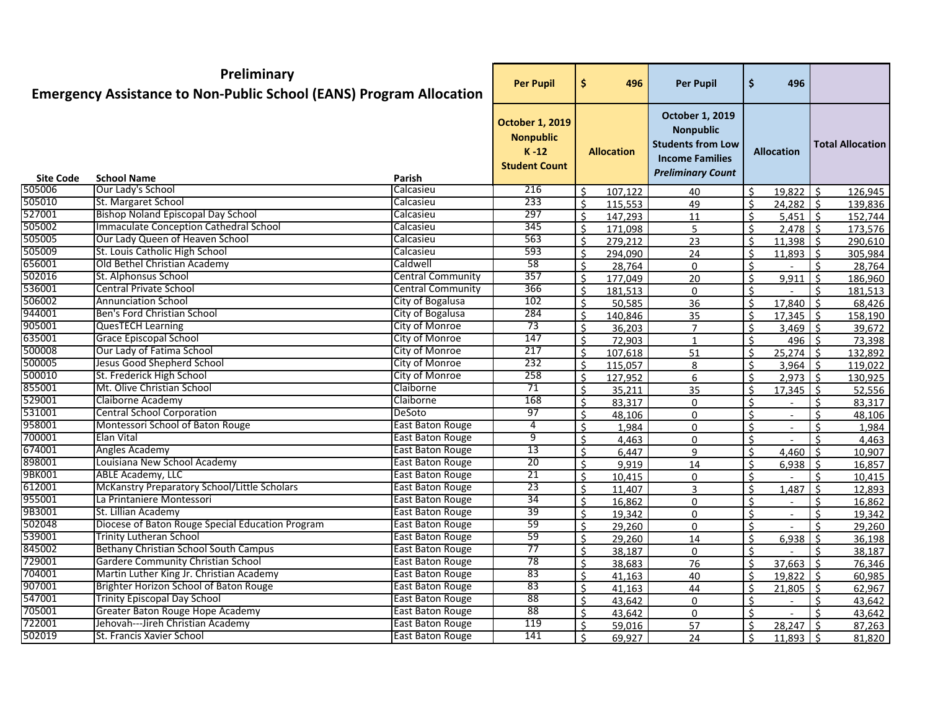|                            | Preliminary<br><b>Emergency Assistance to Non-Public School (EANS) Program Allocation</b> |                          | <b>Per Pupil</b>                                                               | \$<br>496                          | <b>Per Pupil</b>                                                                                                      | \$           | 496                        |                    |                         |
|----------------------------|-------------------------------------------------------------------------------------------|--------------------------|--------------------------------------------------------------------------------|------------------------------------|-----------------------------------------------------------------------------------------------------------------------|--------------|----------------------------|--------------------|-------------------------|
|                            |                                                                                           |                          | <b>October 1, 2019</b><br><b>Nonpublic</b><br>$K - 12$<br><b>Student Count</b> | <b>Allocation</b>                  | October 1, 2019<br><b>Nonpublic</b><br><b>Students from Low</b><br><b>Income Families</b><br><b>Preliminary Count</b> |              | <b>Allocation</b>          |                    | <b>Total Allocation</b> |
| <b>Site Code</b><br>505006 | <b>School Name</b><br>Our Lady's School                                                   | Parish<br>Calcasieu      | 216                                                                            |                                    |                                                                                                                       |              |                            |                    |                         |
| 505010                     | St. Margaret School                                                                       | Calcasieu                | 233                                                                            | Ś.<br>107,122<br>Ś.                | 40                                                                                                                    | \$           | $19,822$ \$<br>$24,282$ \$ |                    | 126,945                 |
| 527001                     | <b>Bishop Noland Episcopal Day School</b>                                                 | Calcasieu                | 297                                                                            | 115,553<br>Ś.                      | 49                                                                                                                    | Ś.           | $5,451$ \$                 |                    | 139,836                 |
| 505002                     | Immaculate Conception Cathedral School                                                    | Calcasieu                | 345                                                                            | 147,293<br>$\mathsf{S}$<br>171,098 | 11<br>5                                                                                                               | $\mathsf{S}$ | $2,478$ \$                 |                    | 152,744<br>173,576      |
| 505005                     | Our Lady Queen of Heaven School                                                           | Calcasieu                | 563                                                                            | \$<br>279,212                      | 23                                                                                                                    | \$           | $11,398$ \$                |                    | 290,610                 |
| 505009                     | St. Louis Catholic High School                                                            | Calcasieu                | 593                                                                            | \$<br>294,090                      |                                                                                                                       | \$           | $11,893$ \$                |                    | 305,984                 |
| 656001                     | Old Bethel Christian Academy                                                              | Caldwell                 | 58                                                                             | \$<br>28,764                       | 24<br>0                                                                                                               | \$           |                            | ς.                 | 28,764                  |
| 502016                     | St. Alphonsus School                                                                      | <b>Central Community</b> | 357                                                                            | Ś.<br>177,049                      | 20                                                                                                                    | \$           | 9,911                      | ς.                 | 186,960                 |
| 536001                     | <b>Central Private School</b>                                                             | <b>Central Community</b> | 366                                                                            | Ś.<br>181,513                      | 0                                                                                                                     | ς            |                            |                    | 181,513                 |
| 506002                     | <b>Annunciation School</b>                                                                | City of Bogalusa         | 102                                                                            | \$<br>50,585                       | 36                                                                                                                    | \$           | $17,840$ \$                |                    | 68,426                  |
| 944001                     | Ben's Ford Christian School                                                               | City of Bogalusa         | 284                                                                            | \$<br>140,846                      | 35                                                                                                                    | \$           | $17,345$ \$                |                    | 158,190                 |
| 905001                     | <b>QuesTECH Learning</b>                                                                  | City of Monroe           | 73                                                                             | Ś.<br>36,203                       | $\overline{7}$                                                                                                        | Ś.           | $3,469$ \$                 |                    | 39,672                  |
| 635001                     | <b>Grace Episcopal School</b>                                                             | City of Monroe           | 147                                                                            | $\mathsf{\hat{S}}$<br>72,903       | 1                                                                                                                     | ς.           | $496$ \$                   |                    | 73,398                  |
| 500008                     | Our Lady of Fatima School                                                                 | City of Monroe           | 217                                                                            | Ś.<br>107,618                      | 51                                                                                                                    | Ś.           | $25,274$   \$              |                    | 132,892                 |
| 500005                     | Jesus Good Shepherd School                                                                | City of Monroe           | 232                                                                            | \$<br>115,057                      | 8                                                                                                                     | \$           | $3,964$ \$                 |                    | 119,022                 |
| 500010                     | St. Frederick High School                                                                 | City of Monroe           | 258                                                                            | \$<br>127,952                      | 6                                                                                                                     | \$           | $2,973$ \$                 |                    | 130,925                 |
| 855001                     | Mt. Olive Christian School                                                                | Claiborne                | 71                                                                             | Ś.<br>35,211                       | 35                                                                                                                    | \$           | $17,345$ \$                |                    | 52,556                  |
| 529001                     | Claiborne Academy                                                                         | Claiborne                | 168                                                                            | Ś.<br>83,317                       | 0                                                                                                                     | Ś.           |                            | ς.                 | 83,317                  |
| 531001                     | <b>Central School Corporation</b>                                                         | DeSoto                   | 97                                                                             | \$<br>48,106                       | 0                                                                                                                     | Ś            | $\sim$                     | ς                  | 48,106                  |
| 958001                     | Montessori School of Baton Rouge                                                          | East Baton Rouge         | 4                                                                              | Ś.<br>1,984                        | $\Omega$                                                                                                              | Ś            | $\overline{\phantom{a}}$   | $\mathsf{\hat{S}}$ | 1,984                   |
| 700001                     | Elan Vital                                                                                | East Baton Rouge         | 9                                                                              | Ś.<br>4,463                        | $\mathbf{0}$                                                                                                          | Ś.           |                            | ς.                 | 4,463                   |
| 674001                     | Angles Academy                                                                            | East Baton Rouge         | $\overline{13}$                                                                | Ś.<br>6,447                        | 9                                                                                                                     | ς            | 4,460                      | -Ś                 | 10,907                  |
| 898001                     | Louisiana New School Academy                                                              | East Baton Rouge         | 20                                                                             | Ś.<br>9,919                        | 14                                                                                                                    | \$           | $6,938$ \$                 |                    | 16,857                  |
| 9BK001                     | ABLE Academy, LLC                                                                         | East Baton Rouge         | 21                                                                             | \$<br>10,415                       | 0                                                                                                                     | \$           |                            | ς                  | 10,415                  |
| 612001                     | McKanstry Preparatory School/Little Scholars                                              | East Baton Rouge         | 23                                                                             | \$<br>11,407                       | 3                                                                                                                     | Ś.           | 1,487                      | -Ś                 | 12,893                  |
| 955001                     | La Printaniere Montessori                                                                 | East Baton Rouge         | 34                                                                             | \$<br>16,862                       | 0                                                                                                                     | Ŝ.           |                            | Ŝ.                 | 16,862                  |
| 9B3001                     | St. Lillian Academy                                                                       | <b>East Baton Rouge</b>  | 39                                                                             | Ś.<br>19,342                       | 0                                                                                                                     | Ś.           |                            | $\zeta$            | 19,342                  |
| 502048                     | Diocese of Baton Rouge Special Education Program                                          | East Baton Rouge         | 59                                                                             | Ś.<br>29,260                       | 0                                                                                                                     | Ś.           |                            |                    | 29,260                  |
| 539001                     | <b>Trinity Lutheran School</b>                                                            | East Baton Rouge         | 59                                                                             | Ś.<br>29,260                       | 14                                                                                                                    | Ś            | 6,938                      | $\zeta$            | 36,198                  |
| 845002                     | Bethany Christian School South Campus                                                     | East Baton Rouge         | 77                                                                             | \$<br>38,187                       | 0                                                                                                                     | \$           |                            | ς.                 | 38,187                  |
| 729001                     | Gardere Community Christian School                                                        | East Baton Rouge         | 78                                                                             | Ś.<br>38,683                       | 76                                                                                                                    | $\mathsf{S}$ | $37,663$ \$                |                    | 76,346                  |
| 704001                     | Martin Luther King Jr. Christian Academy                                                  | East Baton Rouge         | 83                                                                             | Ś.<br>41,163                       | 40                                                                                                                    | ς            | $19,822$ \$                |                    | 60,985                  |
| 907001                     | Brighter Horizon School of Baton Rouge                                                    | East Baton Rouge         | 83                                                                             | \$<br>41,163                       | 44                                                                                                                    | Ś            | $21,805$ \$                |                    | 62,967                  |
| 547001                     | <b>Trinity Episcopal Day School</b>                                                       | East Baton Rouge         | 88                                                                             | \$<br>43,642                       | 0                                                                                                                     | \$           | $\sim$                     | Ŝ.                 | 43,642                  |
| 705001                     | Greater Baton Rouge Hope Academy                                                          | East Baton Rouge         | 88                                                                             | \$<br>43,642                       | 0                                                                                                                     | \$           | $\sim$                     | Ŝ.                 | 43,642                  |
| 722001                     | Jehovah---Jireh Christian Academy                                                         | East Baton Rouge         | 119                                                                            | Ś.<br>59,016                       | 57                                                                                                                    | Ś.           | $28,247$ \$                |                    | 87,263                  |
| 502019                     | St. Francis Xavier School                                                                 | East Baton Rouge         | 141                                                                            | Ś.<br>69,927                       | 24                                                                                                                    | Ś.           | $11,893$ \$                |                    | 81,820                  |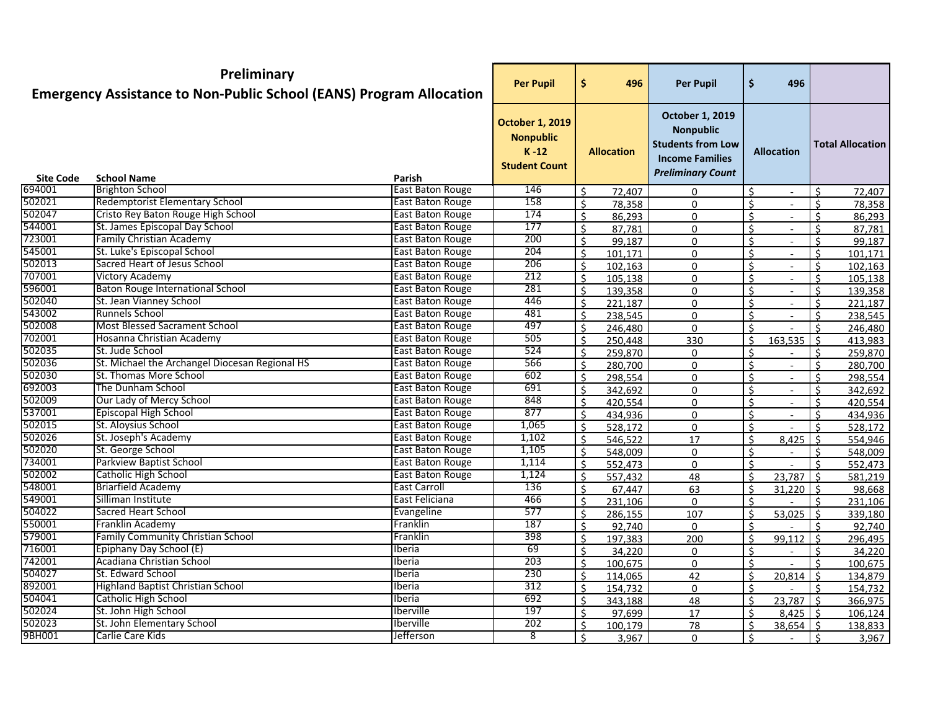|                  | Preliminary<br><b>Emergency Assistance to Non-Public School (EANS) Program Allocation</b> |                         | <b>Per Pupil</b>                                                             | \$<br>496                     | <b>Per Pupil</b>                                                                                                             | \$ | 496                      |                    |                         |
|------------------|-------------------------------------------------------------------------------------------|-------------------------|------------------------------------------------------------------------------|-------------------------------|------------------------------------------------------------------------------------------------------------------------------|----|--------------------------|--------------------|-------------------------|
|                  |                                                                                           |                         | <b>October 1, 2019</b><br><b>Nonpublic</b><br>$K-12$<br><b>Student Count</b> | <b>Allocation</b>             | <b>October 1, 2019</b><br><b>Nonpublic</b><br><b>Students from Low</b><br><b>Income Families</b><br><b>Preliminary Count</b> |    | <b>Allocation</b>        |                    | <b>Total Allocation</b> |
| <b>Site Code</b> | <b>School Name</b>                                                                        | Parish                  |                                                                              |                               |                                                                                                                              |    |                          |                    |                         |
| 694001           | <b>Brighton School</b>                                                                    | East Baton Rouge        | 146                                                                          | $\mathsf{S}$<br>72,407        | 0                                                                                                                            | Ś. | $\overline{\phantom{a}}$ | $\mathsf{S}$       | 72,407                  |
| 502021           | <b>Redemptorist Elementary School</b>                                                     | East Baton Rouge        | 158                                                                          | Ś.<br>78,358                  | $\mathbf{0}$                                                                                                                 | Ś. | $\blacksquare$           | $\mathsf{S}$       | 78,358                  |
| 502047           | Cristo Rey Baton Rouge High School                                                        | East Baton Rouge        | 174                                                                          | \$<br>86,293                  | 0                                                                                                                            | ς  | $\blacksquare$           | $\zeta$            | 86,293                  |
| 544001           | St. James Episcopal Day School                                                            | East Baton Rouge        | 177                                                                          | \$<br>87,781                  | 0                                                                                                                            | Ś  | $\overline{\phantom{a}}$ | Ś.                 | 87,781                  |
| 723001           | <b>Family Christian Academy</b>                                                           | East Baton Rouge        | 200                                                                          | \$<br>99,187                  | 0                                                                                                                            | \$ | $\overline{\phantom{a}}$ | Ŝ.                 | 99,187                  |
| 545001           | St. Luke's Episcopal School                                                               | East Baton Rouge        | 204                                                                          | \$<br>101,171                 | 0                                                                                                                            | \$ | $\blacksquare$           | Ŝ.                 | 101,171                 |
| 502013           | Sacred Heart of Jesus School                                                              | East Baton Rouge        | 206                                                                          | \$<br>102,163                 | 0                                                                                                                            | \$ | $\overline{\phantom{a}}$ | Ś.                 | 102,163                 |
| 707001           | <b>Victory Academy</b>                                                                    | East Baton Rouge        | 212                                                                          | Ś.<br>105,138                 | 0                                                                                                                            | \$ | $\sim$                   | $\zeta$            | 105,138                 |
| 596001           | <b>Baton Rouge International School</b>                                                   | <b>East Baton Rouge</b> | 281                                                                          | \$<br>139,358                 | $\Omega$                                                                                                                     | Ś  | $\overline{\phantom{a}}$ | $\mathsf{\hat{S}}$ | 139,358                 |
| 502040           | St. Jean Vianney School                                                                   | East Baton Rouge        | 446                                                                          | \$<br>221,187                 | $\Omega$                                                                                                                     | Ś  | $\blacksquare$           | $\mathsf{S}$       | 221,187                 |
| 543002           | <b>Runnels School</b>                                                                     | East Baton Rouge        | 481                                                                          | Ś.<br>238,545                 | $\mathbf{0}$                                                                                                                 | Ś. | $\blacksquare$           | $\mathsf{S}$       | 238,545                 |
| 502008           | <b>Most Blessed Sacrament School</b>                                                      | East Baton Rouge        | 497                                                                          | $\mathsf{\hat{S}}$<br>246,480 | 0                                                                                                                            | ς  |                          | $\zeta$            | 246,480                 |
| 702001           | Hosanna Christian Academy                                                                 | <b>East Baton Rouge</b> | 505                                                                          | Ŝ.<br>250,448                 | 330                                                                                                                          | ς  | 163,535                  | <sup>\$</sup>      | 413,983                 |
| 502035           | St. Jude School                                                                           | East Baton Rouge        | 524                                                                          | \$<br>259,870                 | 0                                                                                                                            | \$ |                          | Ś.                 | 259,870                 |
| 502036           | St. Michael the Archangel Diocesan Regional HS                                            | East Baton Rouge        | 566                                                                          | \$<br>280,700                 | 0                                                                                                                            | Ś  | $\blacksquare$           | ς.                 | 280,700                 |
| 502030           | St. Thomas More School                                                                    | <b>East Baton Rouge</b> | 602                                                                          | \$<br>298,554                 | 0                                                                                                                            | \$ |                          | Ŝ.                 | 298,554                 |
| 692003           | The Dunham School                                                                         | East Baton Rouge        | 691                                                                          | Ś.<br>342,692                 | 0                                                                                                                            | ς  | $\blacksquare$           | ¢                  | 342,692                 |
| 502009           | Our Lady of Mercy School                                                                  | East Baton Rouge        | 848                                                                          | \$<br>420,554                 | 0                                                                                                                            | Ŝ. | $\overline{\phantom{a}}$ | Ś.                 | 420,554                 |
| 537001           | <b>Episcopal High School</b>                                                              | East Baton Rouge        | 877                                                                          | \$<br>434,936                 | $\Omega$                                                                                                                     | Ś. | $\blacksquare$           | $\mathsf{S}$       | 434,936                 |
| 502015           | St. Aloysius School                                                                       | East Baton Rouge        | 1,065                                                                        | Ś.<br>528,172                 | $\mathbf{0}$                                                                                                                 | Ś. |                          | $\zeta$            | 528,172                 |
| 502026           | St. Joseph's Academy                                                                      | East Baton Rouge        | 1,102                                                                        | Ś.<br>546,522                 | 17                                                                                                                           | Ś. | 8,425                    | Ŝ.                 | 554,946                 |
| 502020           | St. George School                                                                         | East Baton Rouge        | 1,105                                                                        | $\mathsf{S}$<br>548,009       | 0                                                                                                                            | \$ | $\blacksquare$           | $\mathsf{S}$       | 548,009                 |
| 734001           | <b>Parkview Baptist School</b>                                                            | East Baton Rouge        | 1,114                                                                        | \$<br>552,473                 | 0                                                                                                                            | \$ |                          | $\mathsf{S}$       | 552,473                 |
| 502002           | Catholic High School                                                                      | <b>East Baton Rouge</b> | 1,124                                                                        | \$<br>557,432                 | 48                                                                                                                           | Ś  | 23,787                   | Ŝ.                 | 581,219                 |
| 548001           | <b>Briarfield Academy</b>                                                                 | <b>East Carroll</b>     | 136                                                                          | \$<br>67,447                  | 63                                                                                                                           | \$ | $31,220$ \$              |                    | 98,668                  |
| 549001           | Silliman Institute                                                                        | East Feliciana          | 466                                                                          | \$<br>231,106                 | 0                                                                                                                            | ς  |                          | ¢                  | 231,106                 |
| 504022           | <b>Sacred Heart School</b>                                                                | Evangeline              | 577                                                                          | Ś.<br>286,155                 | 107                                                                                                                          | Ś  | 53,025                   | $\zeta$            | 339,180                 |
| 550001           | Franklin Academy                                                                          | Franklin                | 187                                                                          | \$<br>92,740                  | 0                                                                                                                            | Ś  |                          | $\zeta$            | 92,740                  |
| 579001           | <b>Family Community Christian School</b>                                                  | Franklin                | 398                                                                          | Ś.<br>197,383                 | 200                                                                                                                          | \$ | 99,112                   | $\sim$ 5           | 296,495                 |
| 716001           | Epiphany Day School (E)                                                                   | Iberia                  | 69                                                                           | $\zeta$<br>34,220             | 0                                                                                                                            | ¢  |                          | \$                 | 34,220                  |
| 742001           | Acadiana Christian School                                                                 | Iberia                  | 203                                                                          | $\mathsf{S}$<br>100,675       | 0                                                                                                                            | ς. |                          | $\zeta$            | 100,675                 |
| 504027           | St. Edward School                                                                         | <b>Iberia</b>           | 230                                                                          | Ś.<br>114,065                 | 42                                                                                                                           | Ŝ. | $20,814$ \$              |                    | 134,879                 |
| 892001           | <b>Highland Baptist Christian School</b>                                                  | <b>Iberia</b>           | 312                                                                          | \$<br>154,732                 | 0                                                                                                                            | \$ | $\sim$                   | Ŝ.                 | 154,732                 |
| 504041           | <b>Catholic High School</b>                                                               | Iberia                  | 692                                                                          | \$<br>343,188                 | 48                                                                                                                           | Ś  | $23,787$ \$              |                    | 366,975                 |
| 502024           | St. John High School                                                                      | Iberville               | 197                                                                          | Ś.<br>97,699                  | 17                                                                                                                           | Ś. | $8,425$ \$               |                    | 106,124                 |
| 502023           | St. John Elementary School                                                                | <b>Iberville</b>        | 202                                                                          | Ś.<br>100,179                 | <u>78</u>                                                                                                                    | Ś. | $38,654$ \$              |                    | 138,833                 |
| 9BH001           | Carlie Care Kids                                                                          | Jefferson               | 8                                                                            | Ś.<br>3,967                   | 0                                                                                                                            | Ś. |                          | Ŝ.                 | 3,967                   |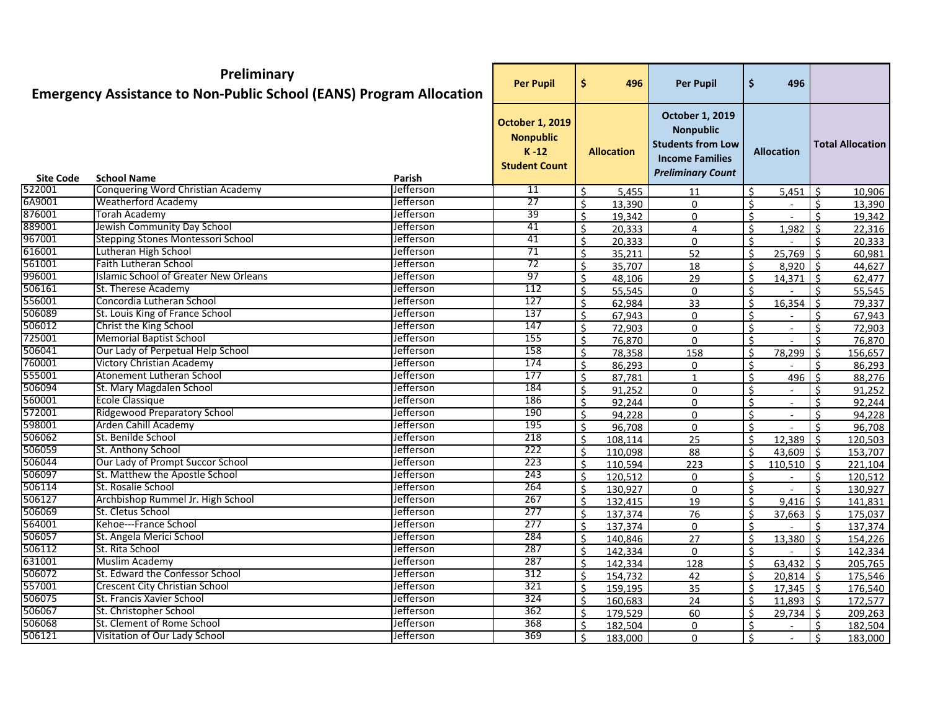|                  | Preliminary<br><b>Emergency Assistance to Non-Public School (EANS) Program Allocation</b> |                  | <b>Per Pupil</b>                                                               | \$<br>496                    | <b>Per Pupil</b>                                                                                                      | \$           | 496                      |                    |                         |
|------------------|-------------------------------------------------------------------------------------------|------------------|--------------------------------------------------------------------------------|------------------------------|-----------------------------------------------------------------------------------------------------------------------|--------------|--------------------------|--------------------|-------------------------|
| <b>Site Code</b> | <b>School Name</b>                                                                        | Parish           | <b>October 1, 2019</b><br><b>Nonpublic</b><br>$K - 12$<br><b>Student Count</b> | <b>Allocation</b>            | October 1, 2019<br><b>Nonpublic</b><br><b>Students from Low</b><br><b>Income Families</b><br><b>Preliminary Count</b> |              | <b>Allocation</b>        |                    | <b>Total Allocation</b> |
| 522001           | Conquering Word Christian Academy                                                         | <b>Jefferson</b> | 11                                                                             | Ś.<br>5,455                  | 11                                                                                                                    | \$           | $5,451$ $\frac{1}{5}$    |                    | 10,906                  |
| 6A9001           | <b>Weatherford Academy</b>                                                                | Jefferson        | 27                                                                             | Ś.<br>13,390                 | $\Omega$                                                                                                              | Ś.           |                          | $\mathsf{\hat{S}}$ | 13,390                  |
| 876001           | Torah Academy                                                                             | <b>Jefferson</b> | 39                                                                             | Ś.<br>19,342                 | 0                                                                                                                     | Ś.           |                          | $\zeta$            | 19,342                  |
| 889001           | Jewish Community Day School                                                               | <b>Jefferson</b> | 41                                                                             | Ś.<br>20,333                 | 4                                                                                                                     | \$           | 1,982                    | $\mathsf{S}$       | 22,316                  |
| 967001           | Stepping Stones Montessori School                                                         | Jefferson        | 41                                                                             | \$<br>20,333                 | 0                                                                                                                     | \$           |                          | Ś.                 | 20,333                  |
| 616001           | Lutheran High School                                                                      | Jefferson        | 71                                                                             | \$<br>35,211                 | 52                                                                                                                    | \$           | 25,769                   | Ŝ.                 | 60,981                  |
| 561001           | <b>Faith Lutheran School</b>                                                              | Jefferson        | 72                                                                             | \$<br>35,707                 | 18                                                                                                                    | \$           | $8,920$ \$               |                    | 44,627                  |
| 996001           | Islamic School of Greater New Orleans                                                     | <b>Jefferson</b> | 97                                                                             | Ś.<br>48,106                 | 29                                                                                                                    | ς            | $14,371$ \$              |                    | 62,477                  |
| 506161           | St. Therese Academy                                                                       | Jefferson        | 112                                                                            | Ś.<br>55,545                 | 0                                                                                                                     | Ś.           |                          | ¢                  | 55,545                  |
| 556001           | Concordia Lutheran School                                                                 | Jefferson        | 127                                                                            | \$<br>62,984                 | 33                                                                                                                    | \$           | 16,354                   | Ŝ.                 | 79,337                  |
| 506089           | St. Louis King of France School                                                           | Jefferson        | 137                                                                            | Ś.<br>67,943                 | $\Omega$                                                                                                              | Ś            |                          | $\zeta$            | 67,943                  |
| 506012           | Christ the King School                                                                    | <b>Jefferson</b> | 147                                                                            | Ś.<br>72,903                 | 0                                                                                                                     | Ś.           | $\overline{\phantom{a}}$ | $\zeta$            | 72,903                  |
| 725001           | <b>Memorial Baptist School</b>                                                            | Jefferson        | 155                                                                            | \$<br>76,870                 | $\Omega$                                                                                                              | ς            |                          | ¢                  | 76,870                  |
| 506041           | Our Lady of Perpetual Help School                                                         | Jefferson        | 158                                                                            | \$<br>78,358                 | 158                                                                                                                   | \$           | 78,299                   | Ŝ.                 | 156,657                 |
| 760001           | <b>Victory Christian Academy</b>                                                          | Jefferson        | 174                                                                            | \$<br>86,293                 | 0                                                                                                                     | \$           |                          | ς                  | 86,293                  |
| 555001           | Atonement Lutheran School                                                                 | Jefferson        | 177                                                                            | \$<br>87,781                 | 1                                                                                                                     | \$           | 496                      | Ŝ.                 | 88,276                  |
| 506094           | St. Mary Magdalen School                                                                  | Jefferson        | 184                                                                            | \$<br>91,252                 | 0                                                                                                                     | \$           |                          | ς                  | 91,252                  |
| 560001           | <b>Ecole Classique</b>                                                                    | Jefferson        | 186                                                                            | $\mathsf{\hat{S}}$<br>92,244 | 0                                                                                                                     | ς            | $\blacksquare$           | $\zeta$            | 92,244                  |
| 572001           | <b>Ridgewood Preparatory School</b>                                                       | Jefferson        | 190                                                                            | \$<br>94,228                 | 0                                                                                                                     | Ś            | $\blacksquare$           | $\mathsf{\hat{S}}$ | 94,228                  |
| 598001           | <b>Arden Cahill Academy</b>                                                               | Jefferson        | 195                                                                            | \$<br>96,708                 | $\mathbf{0}$                                                                                                          | \$           |                          | $\zeta$            | 96,708                  |
| 506062           | St. Benilde School                                                                        | <b>Jefferson</b> | 218                                                                            | Ś.<br>108,114                | 25                                                                                                                    | Ŝ.           | $12,389$ \$              |                    | 120,503                 |
| 506059           | St. Anthony School                                                                        | <b>Jefferson</b> | 222                                                                            | $\mathsf{S}$<br>110,098      | 88                                                                                                                    | ς            | 43,609 $\frac{1}{5}$     |                    | 153,707                 |
| 506044           | Our Lady of Prompt Succor School                                                          | Jefferson        | 223                                                                            | \$<br>110,594                | 223                                                                                                                   | Ś            | $110,510$ \$             |                    | 221,104                 |
| 506097           | St. Matthew the Apostle School                                                            | <b>Jefferson</b> | 243                                                                            | \$<br>120,512                | 0                                                                                                                     | \$           |                          | Ŝ.                 | 120,512                 |
| 506114           | St. Rosalie School                                                                        | Jefferson        | 264                                                                            | \$<br>130,927                | 0                                                                                                                     | Ś.           |                          | $\zeta$            | 130,927                 |
| 506127           | Archbishop Rummel Jr. High School                                                         | <b>Jefferson</b> | 267                                                                            | \$<br>132,415                | 19                                                                                                                    | \$           | $9,416$ \$               |                    | 141,831                 |
| 506069           | St. Cletus School                                                                         | Jefferson        | 277                                                                            | \$<br>137,374                | 76                                                                                                                    | \$           | 37,663                   | Ŝ.                 | 175,037                 |
| 564001           | Kehoe---France School                                                                     | Jefferson        | 277                                                                            | Ś.<br>137,374                | 0                                                                                                                     | Ś.           |                          | $\zeta$            | 137,374                 |
| 506057           | St. Angela Merici School                                                                  | Jefferson        | 284                                                                            | \$<br>140,846                | 27                                                                                                                    | \$           | 13,380                   | $\zeta$            | 154,226                 |
| 506112           | St. Rita School                                                                           | Jefferson        | 287                                                                            | 142,334<br>\$                | 0                                                                                                                     | \$           |                          | ¢                  | 142,334                 |
| 631001           | Muslim Academy                                                                            | Jefferson        | 287                                                                            | Ś.<br>142,334                | 128                                                                                                                   | $\mathsf{S}$ | $63,432$ \$              |                    | 205,765                 |
| 506072           | St. Edward the Confessor School                                                           | Jefferson        | 312                                                                            | $\mathsf{S}$<br>154,732      | 42                                                                                                                    | ς            | $20,814$ \$              |                    | 175,546                 |
| 557001           | <b>Crescent City Christian School</b>                                                     | Jefferson        | 321                                                                            | \$<br>159,195                | 35                                                                                                                    | Ś.           | $17,345$ \$              |                    | 176,540                 |
| 506075           | St. Francis Xavier School                                                                 | Jefferson        | 324                                                                            | \$<br>160,683                | 24                                                                                                                    | Ś            | $11,893$ \$              |                    | 172,577                 |
| 506067           | St. Christopher School                                                                    | Jefferson        | 362                                                                            | \$<br>179,529                | 60                                                                                                                    | Ŝ.           | $29,734$ \$              |                    | 209,263                 |
| 506068           | St. Clement of Rome School                                                                | <b>Jefferson</b> | 368                                                                            | Ŝ.<br>182,504                | 0                                                                                                                     | \$           |                          |                    | 182,504                 |
| 506121           | Visitation of Our Lady School                                                             | Jefferson        | 369                                                                            | Ŝ.<br>183,000                | 0                                                                                                                     | ς            |                          | Ŝ.                 | 183,000                 |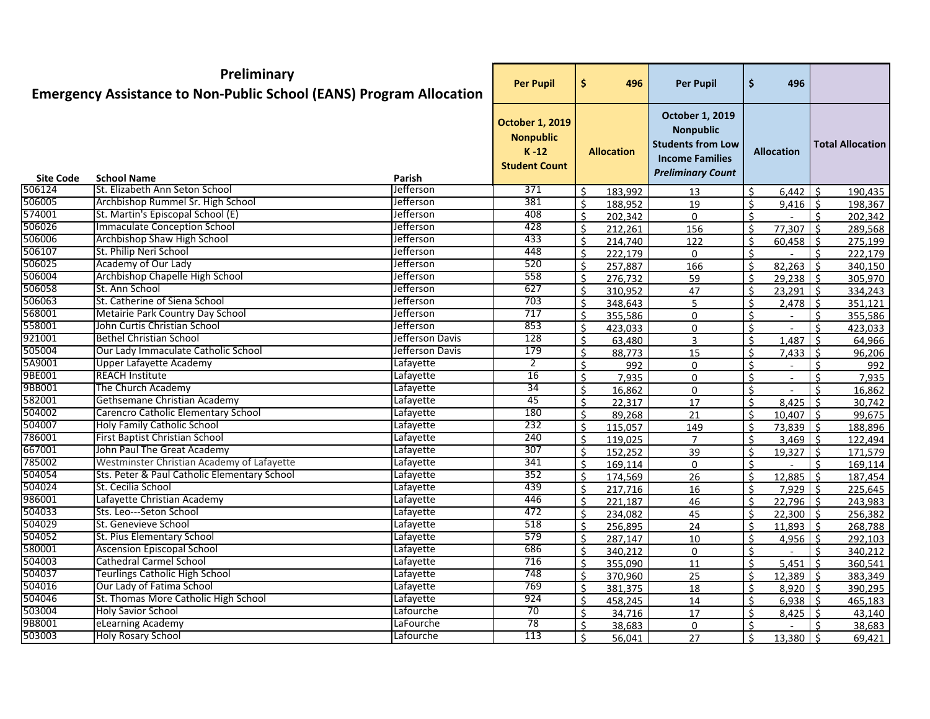|                            | Preliminary<br><b>Emergency Assistance to Non-Public School (EANS) Program Allocation</b> |                     | <b>Per Pupil</b>                                                             | \$<br>496                          | <b>Per Pupil</b>                                                                                                             | \$           | 496                      |              |                         |
|----------------------------|-------------------------------------------------------------------------------------------|---------------------|------------------------------------------------------------------------------|------------------------------------|------------------------------------------------------------------------------------------------------------------------------|--------------|--------------------------|--------------|-------------------------|
|                            |                                                                                           |                     | <b>October 1, 2019</b><br><b>Nonpublic</b><br>$K-12$<br><b>Student Count</b> | <b>Allocation</b>                  | <b>October 1, 2019</b><br><b>Nonpublic</b><br><b>Students from Low</b><br><b>Income Families</b><br><b>Preliminary Count</b> |              | <b>Allocation</b>        |              | <b>Total Allocation</b> |
| <b>Site Code</b><br>506124 | <b>School Name</b><br>St. Elizabeth Ann Seton School                                      | Parish<br>Jefferson | 371                                                                          |                                    |                                                                                                                              |              |                          |              |                         |
| 506005                     | Archbishop Rummel Sr. High School                                                         | Jefferson           | 381                                                                          | Ś.<br>183,992<br>Ś.                | 13                                                                                                                           | Ś.<br>Ś.     | $6,442$ \$<br>$9,416$ \$ |              | 190,435                 |
| 574001                     | St. Martin's Episcopal School (E)                                                         | <b>Jefferson</b>    | 408                                                                          | 188,952<br>$\mathsf{S}$<br>202,342 | 19<br>0                                                                                                                      | ς            |                          | $\zeta$      | 198,367                 |
| 506026                     | <b>Immaculate Conception School</b>                                                       | Jefferson           | 428                                                                          | Ś.<br>212,261                      | 156                                                                                                                          | Ś            | $77,307$ \$              |              | 202,342<br>289,568      |
| 506006                     | Archbishop Shaw High School                                                               | Jefferson           | 433                                                                          | \$<br>214,740                      | 122                                                                                                                          | \$           | $60,458$ \$              |              | 275,199                 |
| 506107                     | St. Philip Neri School                                                                    | Jefferson           | 448                                                                          | \$<br>222,179                      | 0                                                                                                                            | \$           |                          | Ŝ.           | 222,179                 |
| 506025                     | Academy of Our Lady                                                                       | <b>Jefferson</b>    | 520                                                                          | \$<br>257,887                      | 166                                                                                                                          | \$           | $82,263$ \$              |              | 340,150                 |
| 506004                     | Archbishop Chapelle High School                                                           | Jefferson           | 558                                                                          | Ś.<br>276,732                      | 59                                                                                                                           | ς            | $29,238$ \$              |              | 305,970                 |
| 506058                     | St. Ann School                                                                            | Jefferson           | 627                                                                          | \$<br>310,952                      | 47                                                                                                                           | \$           | $23,291$ \$              |              | 334,243                 |
| 506063                     | St. Catherine of Siena School                                                             | <b>Jefferson</b>    | 703                                                                          | \$<br>348,643                      |                                                                                                                              | Ś            | $2,478$ \$               |              | 351,121                 |
| 568001                     | Metairie Park Country Day School                                                          | <b>Jefferson</b>    | 717                                                                          | Ś.<br>355,586                      | $\Omega$                                                                                                                     | Ś.           |                          | $\mathsf{S}$ | 355,586                 |
| 558001                     | John Curtis Christian School                                                              | <b>Jefferson</b>    | 853                                                                          | $\mathsf{\hat{S}}$<br>423,033      | 0                                                                                                                            | ς            |                          | ¢            | 423,033                 |
| 921001                     | <b>Bethel Christian School</b>                                                            | Jefferson Davis     | 128                                                                          | Ś.<br>63,480                       | 3                                                                                                                            | ς            | 1,487                    | $\zeta$      | 64,966                  |
| 505004                     | Our Lady Immaculate Catholic School                                                       | Jefferson Davis     | 179                                                                          | \$<br>88,773                       | 15                                                                                                                           | \$           | 7,433                    | Ŝ.           | 96,206                  |
| 5A9001                     | Upper Lafayette Academy                                                                   | Lafayette           | $\overline{2}$                                                               | \$<br>992                          | 0                                                                                                                            | \$           |                          | ς            | 992                     |
| 9BE001                     | <b>REACH Institute</b>                                                                    | Lafayette           | 16                                                                           | \$<br>7,935                        | 0                                                                                                                            | \$           |                          | ς            | 7,935                   |
| 9BB001                     | The Church Academy                                                                        | Lafayette           | $\overline{34}$                                                              | Ś.<br>16,862                       | 0                                                                                                                            | ς            |                          |              | 16,862                  |
| 582001                     | Gethsemane Christian Academy                                                              | Lafayette           | 45                                                                           | Ś.<br>22,317                       | 17                                                                                                                           | Ś            | $8,425$ \$               |              | 30,742                  |
| 504002                     | <b>Carencro Catholic Elementary School</b>                                                | Lafayette           | 180                                                                          | \$<br>89,268                       | 21                                                                                                                           | Ś            | $10,407$ \$              |              | 99,675                  |
| 504007                     | <b>Holy Family Catholic School</b>                                                        | Lafayette           | 232                                                                          | Ś.<br>115,057                      | 149                                                                                                                          | Ś.           | $73,839$ \$              |              | 188,896                 |
| 786001                     | First Baptist Christian School                                                            | Lafayette           | 240                                                                          | Ś.<br>119,025                      | $\overline{7}$                                                                                                               | Ś.           | $3,469$ \$               |              | 122,494                 |
| 667001                     | John Paul The Great Academy                                                               | Lafayette           | 307                                                                          | Ś.<br>152,252                      | 39                                                                                                                           | $\mathsf{S}$ | $19,327$ \$              |              | 171,579                 |
| 785002                     | Westminster Christian Academy of Lafayette                                                | Lafayette           | 341                                                                          | \$<br>169,114                      | 0                                                                                                                            | Ś.           |                          | Ŝ.           | 169,114                 |
| 504054                     | Sts. Peter & Paul Catholic Elementary School                                              | Lafayette           | 352                                                                          | \$<br>174,569                      | 26                                                                                                                           | Ś.           | $12,885$   \$            |              | 187,454                 |
| 504024                     | St. Cecilia School                                                                        | Lafayette           | 439                                                                          | \$<br>217,716                      | 16                                                                                                                           | \$           | $7,929$ \$               |              | 225,645                 |
| 986001                     | Lafayette Christian Academy                                                               | Lafayette           | 446                                                                          | \$<br>221,187                      | 46                                                                                                                           | ς            | $22,796$ \$              |              | 243,983                 |
| 504033                     | Sts. Leo---Seton School                                                                   | Lafayette           | 472                                                                          | Ś.<br>234,082                      | 45                                                                                                                           | Ś.           | $22,300$ \$              |              | 256,382                 |
| 504029                     | St. Genevieve School                                                                      | Lafayette           | 518                                                                          | \$<br>256,895                      | 24                                                                                                                           | \$           | $11,893$ \$              |              | 268,788                 |
| 504052                     | St. Pius Elementary School                                                                | Lafayette           | 579                                                                          | Ś.<br>287,147                      | 10                                                                                                                           | \$           | $4,956$ \$               |              | 292,103                 |
| 580001                     | Ascension Episcopal School                                                                | Lafayette           | 686                                                                          | $\zeta$<br>340,212                 | 0                                                                                                                            | 4            |                          | ¢            | 340,212                 |
| 504003                     | Cathedral Carmel School                                                                   | Lafayette           | 716                                                                          | $\mathsf{S}$<br>355,090            | 11                                                                                                                           | ς            | $5,451$ \$               |              | 360,541                 |
| 504037                     | Teurlings Catholic High School                                                            | Lafayette           | 748                                                                          | Ś<br>370,960                       | 25                                                                                                                           | Ś            | $12,389$ \$              |              | 383,349                 |
| 504016                     | Our Lady of Fatima School                                                                 | Lafayette           | 769                                                                          | \$<br>381,375                      | 18                                                                                                                           | Ś.           | $8,920$   \$             |              | 390,295                 |
| 504046                     | St. Thomas More Catholic High School                                                      | Lafayette           | 924                                                                          | \$<br>458,245                      | 14                                                                                                                           | \$           | $6,938$ \$               |              | 465,183                 |
| 503004                     | <b>Holy Savior School</b>                                                                 | Lafourche           | 70                                                                           | \$<br>34,716                       | 17                                                                                                                           | Ś.           | $8,425$ \$               |              | 43,140                  |
| 9B8001                     | eLearning Academy                                                                         | LaFourche           | 78                                                                           | Ś.<br>38,683                       | 0                                                                                                                            | Ś.           |                          |              | 38,683                  |
| 503003                     | <b>Holy Rosary School</b>                                                                 | Lafourche           | 113                                                                          | \$<br>56,041                       | 27                                                                                                                           | Ŝ.           | $13,380$ \$              |              | 69,421                  |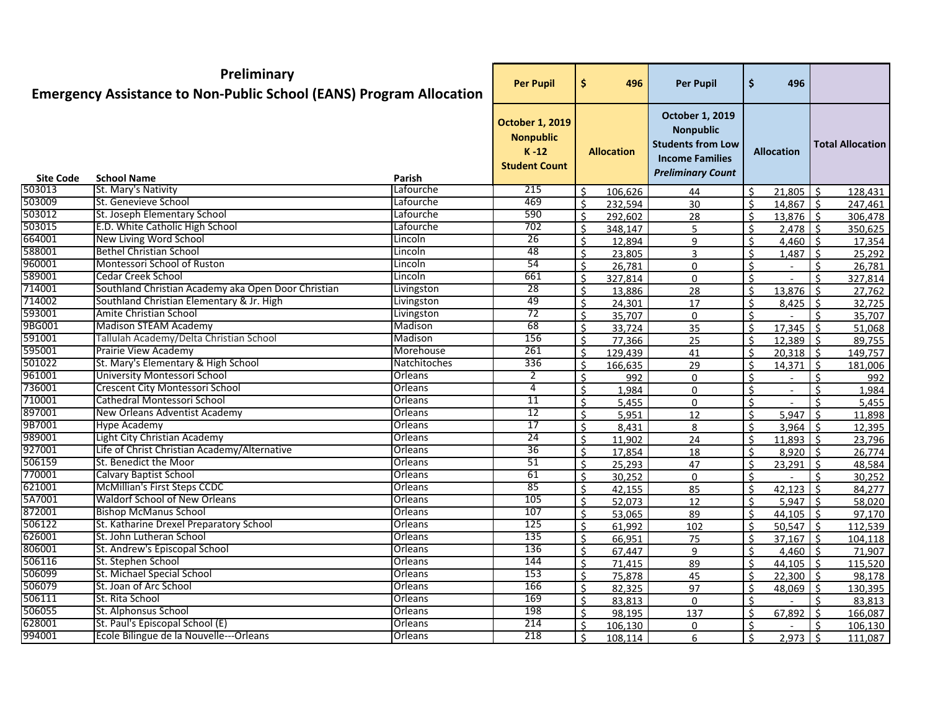|                  | Preliminary<br><b>Emergency Assistance to Non-Public School (EANS) Program Allocation</b> |                | <b>Per Pupil</b>                                                               | \$           | 496               | <b>Per Pupil</b>                                                                                                             | \$           | 496               |                     |                         |
|------------------|-------------------------------------------------------------------------------------------|----------------|--------------------------------------------------------------------------------|--------------|-------------------|------------------------------------------------------------------------------------------------------------------------------|--------------|-------------------|---------------------|-------------------------|
| <b>Site Code</b> | <b>School Name</b>                                                                        | Parish         | <b>October 1, 2019</b><br><b>Nonpublic</b><br>$K - 12$<br><b>Student Count</b> |              | <b>Allocation</b> | <b>October 1, 2019</b><br><b>Nonpublic</b><br><b>Students from Low</b><br><b>Income Families</b><br><b>Preliminary Count</b> |              | <b>Allocation</b> |                     | <b>Total Allocation</b> |
| 503013           | St. Mary's Nativity                                                                       | Lafourche      | 215                                                                            | Ŝ.           | 106,626           | 44                                                                                                                           | ς            | 21,805            | -Ś                  | 128,431                 |
| 503009           | St. Genevieve School                                                                      | Lafourche      | 469                                                                            | Ś.           | 232,594           | 30                                                                                                                           | $\mathsf{S}$ | $14,867$ \$       |                     | 247,461                 |
| 503012           | St. Joseph Elementary School                                                              | Lafourche      | 590                                                                            | Ŝ.           | 292,602           | 28                                                                                                                           | Ś.           | $13,876$ \$       |                     | 306,478                 |
| 503015           | E.D. White Catholic High School                                                           | Lafourche      | 702                                                                            | Ŝ.           | 348,147           | 5                                                                                                                            | $\mathsf{S}$ | $2,478$ \$        |                     | 350,625                 |
| 664001           | New Living Word School                                                                    | Lincoln        | 26                                                                             | \$           | 12,894            | 9                                                                                                                            | \$           | $4,460$ \$        |                     | 17,354                  |
| 588001           | <b>Bethel Christian School</b>                                                            | Lincoln        | 48                                                                             | \$           | 23,805            | 3                                                                                                                            | Ś.           | 1,487             | Ŝ.                  | 25,292                  |
| 960001           | Montessori School of Ruston                                                               | Lincoln        | 54                                                                             | \$           | 26,781            | 0                                                                                                                            | Ŝ.           |                   | ς                   | 26,781                  |
| 589001           | <b>Cedar Creek School</b>                                                                 | Lincoln        | 661                                                                            | Ś.           | 327,814           | 0                                                                                                                            | ς            |                   | ¢                   | 327,814                 |
| 714001           | Southland Christian Academy aka Open Door Christian                                       | Livingston     | 28                                                                             | Ś.           | 13,886            | 28                                                                                                                           | Ŝ.           | 13,876            | $\zeta$             | 27,762                  |
| 714002           | Southland Christian Elementary & Jr. High                                                 | Livingston     | 49                                                                             | \$           | 24,301            | 17                                                                                                                           | \$           | $8,425$ \$        |                     | 32,725                  |
| 593001           | <b>Amite Christian School</b>                                                             | Livingston     | 72                                                                             | $\mathsf{S}$ | 35,707            | $\Omega$                                                                                                                     | $\mathsf{S}$ |                   | ¢                   | 35,707                  |
| 9BG001           | <b>Madison STEAM Academy</b>                                                              | Madison        | 68                                                                             | Ś.           | 33,724            | 35                                                                                                                           | Ŝ.           | $17,345$ \$       |                     | 51,068                  |
| 591001           | Tallulah Academy/Delta Christian School                                                   | Madison        | 156                                                                            | Ś.           | 77,366            | 25                                                                                                                           | ς            | $12,389$ \$       |                     | 89,755                  |
| 595001           | <b>Prairie View Academy</b>                                                               | Morehouse      | 261                                                                            | \$           | 129,439           | 41                                                                                                                           | Ŝ.           | $20,318$ \$       |                     | 149,757                 |
| 501022           | St. Mary's Elementary & High School                                                       | Natchitoches   | 336                                                                            | \$           | 166,635           | 29                                                                                                                           | \$           | 14,371            | -Ś                  | 181,006                 |
| 961001           | University Montessori School                                                              | Orleans        | $\overline{2}$                                                                 | Ŝ.           | 992               | $\mathbf{0}$                                                                                                                 | \$           |                   | ς                   | 992                     |
| 736001           | Crescent City Montessori School                                                           | Orleans        | 4                                                                              | Ŝ.           | 1,984             | 0                                                                                                                            | \$           |                   |                     | 1,984                   |
| 710001           | Cathedral Montessori School                                                               | Orleans        | 11                                                                             | Ś.           | 5,455             | $\Omega$                                                                                                                     | Ŝ.           |                   |                     | 5,455                   |
| 897001           | New Orleans Adventist Academy                                                             | Orleans        | 12                                                                             | Ś.           | 5,951             | 12                                                                                                                           | Ś            | 5,947             | Ŝ.                  | 11,898                  |
| 9B7001           | <b>Hype Academy</b>                                                                       | Orleans        | 17                                                                             | Ś.           | 8,431             | 8                                                                                                                            | Ś            | 3,964             | $\zeta$             | 12,395                  |
| 989001           | Light City Christian Academy                                                              | <b>Orleans</b> | $\overline{24}$                                                                | Ś.           | 11,902            | 24                                                                                                                           | Ś.           | $11,893$ \$       |                     | 23,796                  |
| 927001           | Life of Christ Christian Academy/Alternative                                              | <b>Orleans</b> | 36                                                                             | Ś.           | 17,854            | 18                                                                                                                           | ς            | $8,920$ \$        |                     | 26,774                  |
| 506159           | St. Benedict the Moor                                                                     | Orleans        | 51                                                                             | Ŝ.           | 25,293            | 47                                                                                                                           | Ś.           | 23,291            | $\ddot{\mathsf{S}}$ | 48,584                  |
| 770001           | <b>Calvary Baptist School</b>                                                             | Orleans        | 61                                                                             | \$           | 30,252            | 0                                                                                                                            | \$           |                   | ς                   | 30,252                  |
| 621001           | <b>McMillian's First Steps CCDC</b>                                                       | Orleans        | 85                                                                             | \$           | 42,155            | 85                                                                                                                           | Ŝ.           | 42,123            | -Ś                  | 84,277                  |
| 5A7001           | <b>Waldorf School of New Orleans</b>                                                      | Orleans        | 105                                                                            | \$           | 52,073            | 12                                                                                                                           | Ŝ.           | $5,947$ \$        |                     | 58,020                  |
| 872001           | <b>Bishop McManus School</b>                                                              | Orleans        | 107                                                                            | Ś.           | 53,065            | 89                                                                                                                           | Ś.           | $44,105$ \$       |                     | 97,170                  |
| 506122           | St. Katharine Drexel Preparatory School                                                   | Orleans        | 125                                                                            | Ś.           | 61,992            | 102                                                                                                                          | Ŝ.           | $50,547$ \$       |                     | 112,539                 |
| 626001           | St. John Lutheran School                                                                  | Orleans        | 135                                                                            | Ś.           | 66,951            | 75                                                                                                                           | \$           | $37,167$ \$       |                     | 104,118                 |
| 806001           | St. Andrew's Episcopal School                                                             | Orleans        | 136                                                                            | \$           | 67,447            | 9                                                                                                                            | \$           | $4,460$ \$        |                     | 71,907                  |
| 506116           | St. Stephen School                                                                        | Orleans        | 144                                                                            | Ś.           | 71,415            | 89                                                                                                                           | Ŝ.           | $44,105$ \$       |                     | 115,520                 |
| 506099           | St. Michael Special School                                                                | <b>Orleans</b> | 153                                                                            | Ś.           | 75,878            | 45                                                                                                                           | Ŝ.           | $22,300$ \$       |                     | 98,178                  |
| 506079           | St. Joan of Arc School                                                                    | Orleans        | 166                                                                            | \$           | 82,325            | 97                                                                                                                           | Ŝ.           | $48,069$ \$       |                     | 130,395                 |
| 506111           | St. Rita School                                                                           | Orleans        | 169                                                                            | \$           | 83,813            | 0                                                                                                                            | \$           | $\sim$            | Ŝ.                  | 83,813                  |
| 506055           | St. Alphonsus School                                                                      | <b>Orleans</b> | 198                                                                            | \$           | 98,195            | 137                                                                                                                          | Ŝ.           | $67,892$ \$       |                     | 166,087                 |
| 628001           | St. Paul's Episcopal School (E)                                                           | Orleans        | 214                                                                            | \$           | 106,130           | 0                                                                                                                            | Ś.           |                   |                     | 106,130                 |
| 994001           | Ecole Bilingue de la Nouvelle---Orleans                                                   | <b>Orleans</b> | 218                                                                            | Ŝ.           | 108,114           | 6                                                                                                                            | Ŝ.           | $2,973$ \$        |                     | 111,087                 |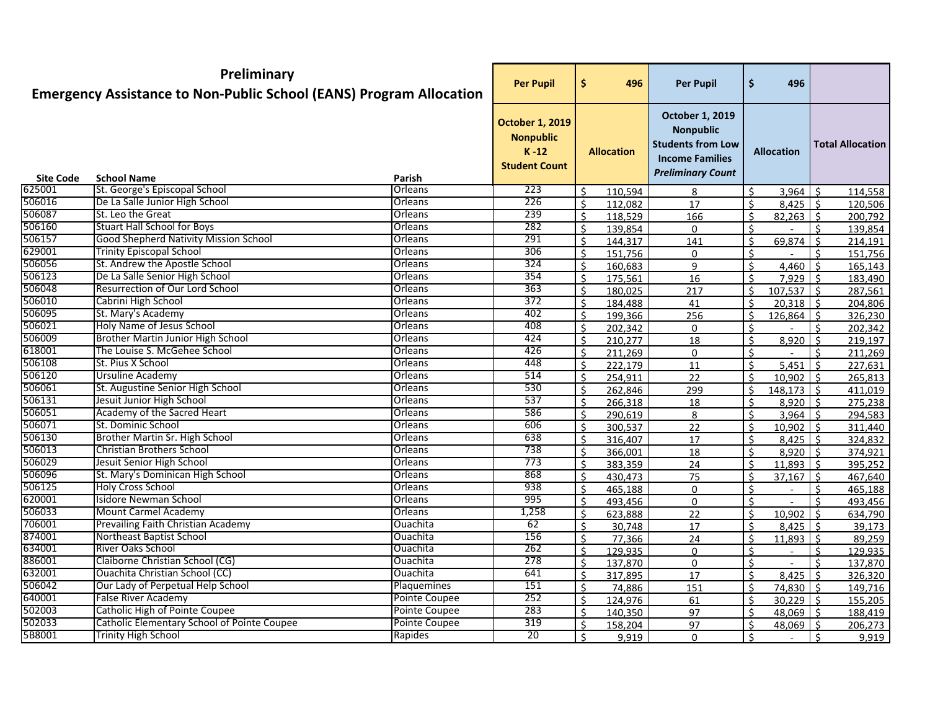| <b>October 1, 2019</b><br><b>October 1, 2019</b><br><b>Nonpublic</b><br><b>Nonpublic</b><br><b>Students from Low</b><br><b>Total Allocation</b><br>$K-12$<br><b>Allocation</b><br><b>Allocation</b><br><b>Income Families</b><br><b>Student Count</b><br><b>Preliminary Count</b><br><b>School Name</b><br><b>Site Code</b><br>Parish<br>625001<br>St. George's Episcopal School<br>Orleans<br>223<br>Ś.<br>Ś.<br>110,594<br>-Ś<br>114,558<br>3,964<br>8<br>506016<br>De La Salle Junior High School<br>226<br>Orleans<br>\$<br>\$<br>$8,425$ \$<br>112,082<br>17<br>120,506<br>506087<br>St. Leo the Great<br>Orleans<br>239<br>Ŝ.<br>\$<br>$82,263$ \$<br>118,529<br>166<br>200,792<br>506160<br><b>Stuart Hall School for Boys</b><br>282<br>Orleans<br>Ŝ.<br>Ś.<br>Ŝ.<br>139,854<br>139,854<br>$\mathbf{0}$<br>506157<br><b>Good Shepherd Nativity Mission School</b><br>Orleans<br>291<br>$\zeta$<br>\$<br>Ŝ.<br>144,317<br>69,874<br>214,191<br>141<br>629001<br><b>Trinity Episcopal School</b><br>306<br>Orleans<br>$\zeta$<br>\$<br>151,756<br>151,756<br>0<br>St. Andrew the Apostle School<br>506056<br>324<br>Orleans<br>\$<br>\$<br>160,683<br>4,460<br>-Ś<br>9<br>165,143<br>506123<br>De La Salle Senior High School<br>Orleans<br>354<br>\$<br>16<br>ς<br>$7,929$ \$<br>175,561<br>183,490<br>506048<br>Resurrection of Our Lord School<br>Orleans<br>363<br>\$<br>\$<br>180,025<br>$107,537$ \$<br>217<br>287,561<br>506010<br>Cabrini High School<br>372<br>Orleans<br>$\zeta$<br>$\dot{\mathsf{S}}$<br>$20,318$ \$<br>41<br>184,488<br>204,806<br>506095<br>St. Mary's Academy<br>Orleans<br>402<br>Ŝ.<br>\$<br>$126,864$ \$<br>199,366<br>256<br>326,230<br>506021<br><b>Holy Name of Jesus School</b><br>Orleans<br>408<br>Ŝ.<br>$\mathsf{S}$<br>$\zeta$<br>202,342<br>202,342<br>$\mathbf{0}$<br>506009<br>Brother Martin Junior High School<br>Orleans<br>424<br>Ŝ.<br>Ś.<br>8,920<br>$\zeta$<br>210,277<br>18<br>219,197<br>618001<br>The Louise S. McGehee School<br>426<br>Orleans<br>$\zeta$<br>$\zeta$<br>211,269<br>0<br>Ŝ.<br>211,269<br>506108<br>St. Pius X School<br>448<br>Orleans<br>$\zeta$<br>\$<br>222,179<br>5,451<br>11<br>227,631<br>506120<br><b>Ursuline Academy</b><br>514<br>Orleans<br>\$<br>\$<br>254,911<br>22<br>$10,902$ \$<br>265,813<br>506061<br>St. Augustine Senior High School<br>Orleans<br>530<br>\$<br>\$<br>$148,173$ \$<br>262,846<br>299<br>411,019<br>506131<br>Jesuit Junior High School<br>537<br>Orleans<br>\$<br>266,318<br>Ŝ.<br>$8,920$ \ \$<br>18<br>275,238<br>506051<br>Academy of the Sacred Heart<br>Orleans<br>586<br>$\zeta$<br>\$<br>290,619<br>8<br>$3,964$ \$<br>294,583<br>506071<br>St. Dominic School<br>Orleans<br>606<br>$\zeta$<br>\$<br>$\vert \zeta$<br>10,902<br>300,537<br>22<br>311,440<br>506130<br>Brother Martin Sr. High School<br>Orleans<br>638<br>$\zeta$<br>\$<br>$8,425$ \$<br>316,407<br>17<br>324,832<br>506013<br><b>Christian Brothers School</b><br>738<br>Orleans<br>Ŝ.<br>$\mathsf{S}$<br>$8,920$ \$<br>366,001<br>18<br>374,921<br>506029<br>Jesuit Senior High School<br>773<br>Orleans<br>$\zeta$<br>Ŝ.<br>$11,893$ \$<br>383,359<br>395,252<br>24<br>506096<br>St. Mary's Dominican High School<br>868<br>Orleans<br>$\zeta$<br>\$<br>430,473<br>75<br>37,167<br>5 ا<br>467,640<br>506125<br><b>Holy Cross School</b><br>938<br>Orleans<br>$\zeta$<br>\$<br>465,188<br>Ŝ.<br>0<br>465,188<br>620001<br>Isidore Newman School<br>Orleans<br>995<br>$\zeta$<br>Ś<br>ς.<br>493,456<br>493,456<br>$\mathbf{0}$<br>506033<br><b>Mount Carmel Academy</b><br>Orleans<br>1,258<br>\$<br>Ś.<br>10,902<br>$\zeta$<br>623,888<br>22<br>634,790<br>706001<br>Prevailing Faith Christian Academy<br>Ouachita<br>62<br>\$<br>\$<br>30,748<br>8,425<br>$\zeta$<br>17<br>39,173<br>874001<br>Northeast Baptist School<br>156<br>Ouachita<br>Ś.<br>$\mathsf{S}$<br>$11,893$ \$<br>24<br>89,259<br>77,366<br>634001<br><b>River Oaks School</b><br>262<br>Ouachita<br>$\zeta$<br>$\zeta$<br>129 935<br>129,935<br>$\Omega$<br>886001<br>Claiborne Christian School (CG)<br>Ouachita<br>278<br>$\mathsf{S}$<br>Ŝ.<br>Ŝ.<br>137,870<br>0<br>137,870<br>632001<br>Ouachita Christian School (CC)<br><b>Ouachita</b><br>641<br>Ŝ.<br>Ŝ.<br>$8,425$ \$<br>317,895<br>17<br>326,320<br>506042<br>Our Lady of Perpetual Help School<br>Plaquemines<br>151<br>\$<br>\$<br>74,886<br>151<br>74,830 \$<br>149,716<br>640001<br>False River Academy<br>Pointe Coupee<br>252<br>\$<br>Ś<br>$30,229$ \$<br>124,976<br>61<br>155,205<br>502003<br>Catholic High of Pointe Coupee<br>Pointe Coupee<br>283<br>Ŝ.<br>\$<br>140,350<br>97<br>$48,069$ \$<br>188,419<br>Catholic Elementary School of Pointe Coupee<br>Pointe Coupee<br>319<br>Ŝ.<br>97<br>Ŝ.<br>158,204<br>$48,069$ \$<br>206,273<br>Trinity High School<br>Rapides<br>$\overline{20}$<br>$\zeta$<br>Ŝ.<br>9,919<br>0<br>۱Ś.<br>9,919 |        | Preliminary<br><b>Emergency Assistance to Non-Public School (EANS) Program Allocation</b> | <b>Per Pupil</b> | \$<br>496 | <b>Per Pupil</b> | $\ddot{\bm{\zeta}}$ | 496 |  |
|----------------------------------------------------------------------------------------------------------------------------------------------------------------------------------------------------------------------------------------------------------------------------------------------------------------------------------------------------------------------------------------------------------------------------------------------------------------------------------------------------------------------------------------------------------------------------------------------------------------------------------------------------------------------------------------------------------------------------------------------------------------------------------------------------------------------------------------------------------------------------------------------------------------------------------------------------------------------------------------------------------------------------------------------------------------------------------------------------------------------------------------------------------------------------------------------------------------------------------------------------------------------------------------------------------------------------------------------------------------------------------------------------------------------------------------------------------------------------------------------------------------------------------------------------------------------------------------------------------------------------------------------------------------------------------------------------------------------------------------------------------------------------------------------------------------------------------------------------------------------------------------------------------------------------------------------------------------------------------------------------------------------------------------------------------------------------------------------------------------------------------------------------------------------------------------------------------------------------------------------------------------------------------------------------------------------------------------------------------------------------------------------------------------------------------------------------------------------------------------------------------------------------------------------------------------------------------------------------------------------------------------------------------------------------------------------------------------------------------------------------------------------------------------------------------------------------------------------------------------------------------------------------------------------------------------------------------------------------------------------------------------------------------------------------------------------------------------------------------------------------------------------------------------------------------------------------------------------------------------------------------------------------------------------------------------------------------------------------------------------------------------------------------------------------------------------------------------------------------------------------------------------------------------------------------------------------------------------------------------------------------------------------------------------------------------------------------------------------------------------------------------------------------------------------------------------------------------------------------------------------------------------------------------------------------------------------------------------------------------------------------------------------------------------------------------------------------------------------------------------------------------------------------------------------------------------------------------------------------------------------------------------------------------------------------------------------------------------------------------------------------------------------------------------------------------------------------------------------------------------------------------------------------------------------------------------------------------------------------------------------------------------------------------------------------------------------------------------------------------------------------------------------------------------------------------------------------------------------------------------------------|--------|-------------------------------------------------------------------------------------------|------------------|-----------|------------------|---------------------|-----|--|
|                                                                                                                                                                                                                                                                                                                                                                                                                                                                                                                                                                                                                                                                                                                                                                                                                                                                                                                                                                                                                                                                                                                                                                                                                                                                                                                                                                                                                                                                                                                                                                                                                                                                                                                                                                                                                                                                                                                                                                                                                                                                                                                                                                                                                                                                                                                                                                                                                                                                                                                                                                                                                                                                                                                                                                                                                                                                                                                                                                                                                                                                                                                                                                                                                                                                                                                                                                                                                                                                                                                                                                                                                                                                                                                                                                                                                                                                                                                                                                                                                                                                                                                                                                                                                                                                                                                                                                                                                                                                                                                                                                                                                                                                                                                                                                                                                                                                                  |        |                                                                                           |                  |           |                  |                     |     |  |
|                                                                                                                                                                                                                                                                                                                                                                                                                                                                                                                                                                                                                                                                                                                                                                                                                                                                                                                                                                                                                                                                                                                                                                                                                                                                                                                                                                                                                                                                                                                                                                                                                                                                                                                                                                                                                                                                                                                                                                                                                                                                                                                                                                                                                                                                                                                                                                                                                                                                                                                                                                                                                                                                                                                                                                                                                                                                                                                                                                                                                                                                                                                                                                                                                                                                                                                                                                                                                                                                                                                                                                                                                                                                                                                                                                                                                                                                                                                                                                                                                                                                                                                                                                                                                                                                                                                                                                                                                                                                                                                                                                                                                                                                                                                                                                                                                                                                                  |        |                                                                                           |                  |           |                  |                     |     |  |
|                                                                                                                                                                                                                                                                                                                                                                                                                                                                                                                                                                                                                                                                                                                                                                                                                                                                                                                                                                                                                                                                                                                                                                                                                                                                                                                                                                                                                                                                                                                                                                                                                                                                                                                                                                                                                                                                                                                                                                                                                                                                                                                                                                                                                                                                                                                                                                                                                                                                                                                                                                                                                                                                                                                                                                                                                                                                                                                                                                                                                                                                                                                                                                                                                                                                                                                                                                                                                                                                                                                                                                                                                                                                                                                                                                                                                                                                                                                                                                                                                                                                                                                                                                                                                                                                                                                                                                                                                                                                                                                                                                                                                                                                                                                                                                                                                                                                                  |        |                                                                                           |                  |           |                  |                     |     |  |
|                                                                                                                                                                                                                                                                                                                                                                                                                                                                                                                                                                                                                                                                                                                                                                                                                                                                                                                                                                                                                                                                                                                                                                                                                                                                                                                                                                                                                                                                                                                                                                                                                                                                                                                                                                                                                                                                                                                                                                                                                                                                                                                                                                                                                                                                                                                                                                                                                                                                                                                                                                                                                                                                                                                                                                                                                                                                                                                                                                                                                                                                                                                                                                                                                                                                                                                                                                                                                                                                                                                                                                                                                                                                                                                                                                                                                                                                                                                                                                                                                                                                                                                                                                                                                                                                                                                                                                                                                                                                                                                                                                                                                                                                                                                                                                                                                                                                                  |        |                                                                                           |                  |           |                  |                     |     |  |
|                                                                                                                                                                                                                                                                                                                                                                                                                                                                                                                                                                                                                                                                                                                                                                                                                                                                                                                                                                                                                                                                                                                                                                                                                                                                                                                                                                                                                                                                                                                                                                                                                                                                                                                                                                                                                                                                                                                                                                                                                                                                                                                                                                                                                                                                                                                                                                                                                                                                                                                                                                                                                                                                                                                                                                                                                                                                                                                                                                                                                                                                                                                                                                                                                                                                                                                                                                                                                                                                                                                                                                                                                                                                                                                                                                                                                                                                                                                                                                                                                                                                                                                                                                                                                                                                                                                                                                                                                                                                                                                                                                                                                                                                                                                                                                                                                                                                                  |        |                                                                                           |                  |           |                  |                     |     |  |
|                                                                                                                                                                                                                                                                                                                                                                                                                                                                                                                                                                                                                                                                                                                                                                                                                                                                                                                                                                                                                                                                                                                                                                                                                                                                                                                                                                                                                                                                                                                                                                                                                                                                                                                                                                                                                                                                                                                                                                                                                                                                                                                                                                                                                                                                                                                                                                                                                                                                                                                                                                                                                                                                                                                                                                                                                                                                                                                                                                                                                                                                                                                                                                                                                                                                                                                                                                                                                                                                                                                                                                                                                                                                                                                                                                                                                                                                                                                                                                                                                                                                                                                                                                                                                                                                                                                                                                                                                                                                                                                                                                                                                                                                                                                                                                                                                                                                                  |        |                                                                                           |                  |           |                  |                     |     |  |
|                                                                                                                                                                                                                                                                                                                                                                                                                                                                                                                                                                                                                                                                                                                                                                                                                                                                                                                                                                                                                                                                                                                                                                                                                                                                                                                                                                                                                                                                                                                                                                                                                                                                                                                                                                                                                                                                                                                                                                                                                                                                                                                                                                                                                                                                                                                                                                                                                                                                                                                                                                                                                                                                                                                                                                                                                                                                                                                                                                                                                                                                                                                                                                                                                                                                                                                                                                                                                                                                                                                                                                                                                                                                                                                                                                                                                                                                                                                                                                                                                                                                                                                                                                                                                                                                                                                                                                                                                                                                                                                                                                                                                                                                                                                                                                                                                                                                                  |        |                                                                                           |                  |           |                  |                     |     |  |
|                                                                                                                                                                                                                                                                                                                                                                                                                                                                                                                                                                                                                                                                                                                                                                                                                                                                                                                                                                                                                                                                                                                                                                                                                                                                                                                                                                                                                                                                                                                                                                                                                                                                                                                                                                                                                                                                                                                                                                                                                                                                                                                                                                                                                                                                                                                                                                                                                                                                                                                                                                                                                                                                                                                                                                                                                                                                                                                                                                                                                                                                                                                                                                                                                                                                                                                                                                                                                                                                                                                                                                                                                                                                                                                                                                                                                                                                                                                                                                                                                                                                                                                                                                                                                                                                                                                                                                                                                                                                                                                                                                                                                                                                                                                                                                                                                                                                                  |        |                                                                                           |                  |           |                  |                     |     |  |
|                                                                                                                                                                                                                                                                                                                                                                                                                                                                                                                                                                                                                                                                                                                                                                                                                                                                                                                                                                                                                                                                                                                                                                                                                                                                                                                                                                                                                                                                                                                                                                                                                                                                                                                                                                                                                                                                                                                                                                                                                                                                                                                                                                                                                                                                                                                                                                                                                                                                                                                                                                                                                                                                                                                                                                                                                                                                                                                                                                                                                                                                                                                                                                                                                                                                                                                                                                                                                                                                                                                                                                                                                                                                                                                                                                                                                                                                                                                                                                                                                                                                                                                                                                                                                                                                                                                                                                                                                                                                                                                                                                                                                                                                                                                                                                                                                                                                                  |        |                                                                                           |                  |           |                  |                     |     |  |
|                                                                                                                                                                                                                                                                                                                                                                                                                                                                                                                                                                                                                                                                                                                                                                                                                                                                                                                                                                                                                                                                                                                                                                                                                                                                                                                                                                                                                                                                                                                                                                                                                                                                                                                                                                                                                                                                                                                                                                                                                                                                                                                                                                                                                                                                                                                                                                                                                                                                                                                                                                                                                                                                                                                                                                                                                                                                                                                                                                                                                                                                                                                                                                                                                                                                                                                                                                                                                                                                                                                                                                                                                                                                                                                                                                                                                                                                                                                                                                                                                                                                                                                                                                                                                                                                                                                                                                                                                                                                                                                                                                                                                                                                                                                                                                                                                                                                                  |        |                                                                                           |                  |           |                  |                     |     |  |
|                                                                                                                                                                                                                                                                                                                                                                                                                                                                                                                                                                                                                                                                                                                                                                                                                                                                                                                                                                                                                                                                                                                                                                                                                                                                                                                                                                                                                                                                                                                                                                                                                                                                                                                                                                                                                                                                                                                                                                                                                                                                                                                                                                                                                                                                                                                                                                                                                                                                                                                                                                                                                                                                                                                                                                                                                                                                                                                                                                                                                                                                                                                                                                                                                                                                                                                                                                                                                                                                                                                                                                                                                                                                                                                                                                                                                                                                                                                                                                                                                                                                                                                                                                                                                                                                                                                                                                                                                                                                                                                                                                                                                                                                                                                                                                                                                                                                                  |        |                                                                                           |                  |           |                  |                     |     |  |
|                                                                                                                                                                                                                                                                                                                                                                                                                                                                                                                                                                                                                                                                                                                                                                                                                                                                                                                                                                                                                                                                                                                                                                                                                                                                                                                                                                                                                                                                                                                                                                                                                                                                                                                                                                                                                                                                                                                                                                                                                                                                                                                                                                                                                                                                                                                                                                                                                                                                                                                                                                                                                                                                                                                                                                                                                                                                                                                                                                                                                                                                                                                                                                                                                                                                                                                                                                                                                                                                                                                                                                                                                                                                                                                                                                                                                                                                                                                                                                                                                                                                                                                                                                                                                                                                                                                                                                                                                                                                                                                                                                                                                                                                                                                                                                                                                                                                                  |        |                                                                                           |                  |           |                  |                     |     |  |
|                                                                                                                                                                                                                                                                                                                                                                                                                                                                                                                                                                                                                                                                                                                                                                                                                                                                                                                                                                                                                                                                                                                                                                                                                                                                                                                                                                                                                                                                                                                                                                                                                                                                                                                                                                                                                                                                                                                                                                                                                                                                                                                                                                                                                                                                                                                                                                                                                                                                                                                                                                                                                                                                                                                                                                                                                                                                                                                                                                                                                                                                                                                                                                                                                                                                                                                                                                                                                                                                                                                                                                                                                                                                                                                                                                                                                                                                                                                                                                                                                                                                                                                                                                                                                                                                                                                                                                                                                                                                                                                                                                                                                                                                                                                                                                                                                                                                                  |        |                                                                                           |                  |           |                  |                     |     |  |
|                                                                                                                                                                                                                                                                                                                                                                                                                                                                                                                                                                                                                                                                                                                                                                                                                                                                                                                                                                                                                                                                                                                                                                                                                                                                                                                                                                                                                                                                                                                                                                                                                                                                                                                                                                                                                                                                                                                                                                                                                                                                                                                                                                                                                                                                                                                                                                                                                                                                                                                                                                                                                                                                                                                                                                                                                                                                                                                                                                                                                                                                                                                                                                                                                                                                                                                                                                                                                                                                                                                                                                                                                                                                                                                                                                                                                                                                                                                                                                                                                                                                                                                                                                                                                                                                                                                                                                                                                                                                                                                                                                                                                                                                                                                                                                                                                                                                                  |        |                                                                                           |                  |           |                  |                     |     |  |
|                                                                                                                                                                                                                                                                                                                                                                                                                                                                                                                                                                                                                                                                                                                                                                                                                                                                                                                                                                                                                                                                                                                                                                                                                                                                                                                                                                                                                                                                                                                                                                                                                                                                                                                                                                                                                                                                                                                                                                                                                                                                                                                                                                                                                                                                                                                                                                                                                                                                                                                                                                                                                                                                                                                                                                                                                                                                                                                                                                                                                                                                                                                                                                                                                                                                                                                                                                                                                                                                                                                                                                                                                                                                                                                                                                                                                                                                                                                                                                                                                                                                                                                                                                                                                                                                                                                                                                                                                                                                                                                                                                                                                                                                                                                                                                                                                                                                                  |        |                                                                                           |                  |           |                  |                     |     |  |
|                                                                                                                                                                                                                                                                                                                                                                                                                                                                                                                                                                                                                                                                                                                                                                                                                                                                                                                                                                                                                                                                                                                                                                                                                                                                                                                                                                                                                                                                                                                                                                                                                                                                                                                                                                                                                                                                                                                                                                                                                                                                                                                                                                                                                                                                                                                                                                                                                                                                                                                                                                                                                                                                                                                                                                                                                                                                                                                                                                                                                                                                                                                                                                                                                                                                                                                                                                                                                                                                                                                                                                                                                                                                                                                                                                                                                                                                                                                                                                                                                                                                                                                                                                                                                                                                                                                                                                                                                                                                                                                                                                                                                                                                                                                                                                                                                                                                                  |        |                                                                                           |                  |           |                  |                     |     |  |
|                                                                                                                                                                                                                                                                                                                                                                                                                                                                                                                                                                                                                                                                                                                                                                                                                                                                                                                                                                                                                                                                                                                                                                                                                                                                                                                                                                                                                                                                                                                                                                                                                                                                                                                                                                                                                                                                                                                                                                                                                                                                                                                                                                                                                                                                                                                                                                                                                                                                                                                                                                                                                                                                                                                                                                                                                                                                                                                                                                                                                                                                                                                                                                                                                                                                                                                                                                                                                                                                                                                                                                                                                                                                                                                                                                                                                                                                                                                                                                                                                                                                                                                                                                                                                                                                                                                                                                                                                                                                                                                                                                                                                                                                                                                                                                                                                                                                                  |        |                                                                                           |                  |           |                  |                     |     |  |
|                                                                                                                                                                                                                                                                                                                                                                                                                                                                                                                                                                                                                                                                                                                                                                                                                                                                                                                                                                                                                                                                                                                                                                                                                                                                                                                                                                                                                                                                                                                                                                                                                                                                                                                                                                                                                                                                                                                                                                                                                                                                                                                                                                                                                                                                                                                                                                                                                                                                                                                                                                                                                                                                                                                                                                                                                                                                                                                                                                                                                                                                                                                                                                                                                                                                                                                                                                                                                                                                                                                                                                                                                                                                                                                                                                                                                                                                                                                                                                                                                                                                                                                                                                                                                                                                                                                                                                                                                                                                                                                                                                                                                                                                                                                                                                                                                                                                                  |        |                                                                                           |                  |           |                  |                     |     |  |
|                                                                                                                                                                                                                                                                                                                                                                                                                                                                                                                                                                                                                                                                                                                                                                                                                                                                                                                                                                                                                                                                                                                                                                                                                                                                                                                                                                                                                                                                                                                                                                                                                                                                                                                                                                                                                                                                                                                                                                                                                                                                                                                                                                                                                                                                                                                                                                                                                                                                                                                                                                                                                                                                                                                                                                                                                                                                                                                                                                                                                                                                                                                                                                                                                                                                                                                                                                                                                                                                                                                                                                                                                                                                                                                                                                                                                                                                                                                                                                                                                                                                                                                                                                                                                                                                                                                                                                                                                                                                                                                                                                                                                                                                                                                                                                                                                                                                                  |        |                                                                                           |                  |           |                  |                     |     |  |
|                                                                                                                                                                                                                                                                                                                                                                                                                                                                                                                                                                                                                                                                                                                                                                                                                                                                                                                                                                                                                                                                                                                                                                                                                                                                                                                                                                                                                                                                                                                                                                                                                                                                                                                                                                                                                                                                                                                                                                                                                                                                                                                                                                                                                                                                                                                                                                                                                                                                                                                                                                                                                                                                                                                                                                                                                                                                                                                                                                                                                                                                                                                                                                                                                                                                                                                                                                                                                                                                                                                                                                                                                                                                                                                                                                                                                                                                                                                                                                                                                                                                                                                                                                                                                                                                                                                                                                                                                                                                                                                                                                                                                                                                                                                                                                                                                                                                                  |        |                                                                                           |                  |           |                  |                     |     |  |
|                                                                                                                                                                                                                                                                                                                                                                                                                                                                                                                                                                                                                                                                                                                                                                                                                                                                                                                                                                                                                                                                                                                                                                                                                                                                                                                                                                                                                                                                                                                                                                                                                                                                                                                                                                                                                                                                                                                                                                                                                                                                                                                                                                                                                                                                                                                                                                                                                                                                                                                                                                                                                                                                                                                                                                                                                                                                                                                                                                                                                                                                                                                                                                                                                                                                                                                                                                                                                                                                                                                                                                                                                                                                                                                                                                                                                                                                                                                                                                                                                                                                                                                                                                                                                                                                                                                                                                                                                                                                                                                                                                                                                                                                                                                                                                                                                                                                                  |        |                                                                                           |                  |           |                  |                     |     |  |
|                                                                                                                                                                                                                                                                                                                                                                                                                                                                                                                                                                                                                                                                                                                                                                                                                                                                                                                                                                                                                                                                                                                                                                                                                                                                                                                                                                                                                                                                                                                                                                                                                                                                                                                                                                                                                                                                                                                                                                                                                                                                                                                                                                                                                                                                                                                                                                                                                                                                                                                                                                                                                                                                                                                                                                                                                                                                                                                                                                                                                                                                                                                                                                                                                                                                                                                                                                                                                                                                                                                                                                                                                                                                                                                                                                                                                                                                                                                                                                                                                                                                                                                                                                                                                                                                                                                                                                                                                                                                                                                                                                                                                                                                                                                                                                                                                                                                                  |        |                                                                                           |                  |           |                  |                     |     |  |
|                                                                                                                                                                                                                                                                                                                                                                                                                                                                                                                                                                                                                                                                                                                                                                                                                                                                                                                                                                                                                                                                                                                                                                                                                                                                                                                                                                                                                                                                                                                                                                                                                                                                                                                                                                                                                                                                                                                                                                                                                                                                                                                                                                                                                                                                                                                                                                                                                                                                                                                                                                                                                                                                                                                                                                                                                                                                                                                                                                                                                                                                                                                                                                                                                                                                                                                                                                                                                                                                                                                                                                                                                                                                                                                                                                                                                                                                                                                                                                                                                                                                                                                                                                                                                                                                                                                                                                                                                                                                                                                                                                                                                                                                                                                                                                                                                                                                                  |        |                                                                                           |                  |           |                  |                     |     |  |
|                                                                                                                                                                                                                                                                                                                                                                                                                                                                                                                                                                                                                                                                                                                                                                                                                                                                                                                                                                                                                                                                                                                                                                                                                                                                                                                                                                                                                                                                                                                                                                                                                                                                                                                                                                                                                                                                                                                                                                                                                                                                                                                                                                                                                                                                                                                                                                                                                                                                                                                                                                                                                                                                                                                                                                                                                                                                                                                                                                                                                                                                                                                                                                                                                                                                                                                                                                                                                                                                                                                                                                                                                                                                                                                                                                                                                                                                                                                                                                                                                                                                                                                                                                                                                                                                                                                                                                                                                                                                                                                                                                                                                                                                                                                                                                                                                                                                                  |        |                                                                                           |                  |           |                  |                     |     |  |
|                                                                                                                                                                                                                                                                                                                                                                                                                                                                                                                                                                                                                                                                                                                                                                                                                                                                                                                                                                                                                                                                                                                                                                                                                                                                                                                                                                                                                                                                                                                                                                                                                                                                                                                                                                                                                                                                                                                                                                                                                                                                                                                                                                                                                                                                                                                                                                                                                                                                                                                                                                                                                                                                                                                                                                                                                                                                                                                                                                                                                                                                                                                                                                                                                                                                                                                                                                                                                                                                                                                                                                                                                                                                                                                                                                                                                                                                                                                                                                                                                                                                                                                                                                                                                                                                                                                                                                                                                                                                                                                                                                                                                                                                                                                                                                                                                                                                                  |        |                                                                                           |                  |           |                  |                     |     |  |
|                                                                                                                                                                                                                                                                                                                                                                                                                                                                                                                                                                                                                                                                                                                                                                                                                                                                                                                                                                                                                                                                                                                                                                                                                                                                                                                                                                                                                                                                                                                                                                                                                                                                                                                                                                                                                                                                                                                                                                                                                                                                                                                                                                                                                                                                                                                                                                                                                                                                                                                                                                                                                                                                                                                                                                                                                                                                                                                                                                                                                                                                                                                                                                                                                                                                                                                                                                                                                                                                                                                                                                                                                                                                                                                                                                                                                                                                                                                                                                                                                                                                                                                                                                                                                                                                                                                                                                                                                                                                                                                                                                                                                                                                                                                                                                                                                                                                                  |        |                                                                                           |                  |           |                  |                     |     |  |
|                                                                                                                                                                                                                                                                                                                                                                                                                                                                                                                                                                                                                                                                                                                                                                                                                                                                                                                                                                                                                                                                                                                                                                                                                                                                                                                                                                                                                                                                                                                                                                                                                                                                                                                                                                                                                                                                                                                                                                                                                                                                                                                                                                                                                                                                                                                                                                                                                                                                                                                                                                                                                                                                                                                                                                                                                                                                                                                                                                                                                                                                                                                                                                                                                                                                                                                                                                                                                                                                                                                                                                                                                                                                                                                                                                                                                                                                                                                                                                                                                                                                                                                                                                                                                                                                                                                                                                                                                                                                                                                                                                                                                                                                                                                                                                                                                                                                                  |        |                                                                                           |                  |           |                  |                     |     |  |
|                                                                                                                                                                                                                                                                                                                                                                                                                                                                                                                                                                                                                                                                                                                                                                                                                                                                                                                                                                                                                                                                                                                                                                                                                                                                                                                                                                                                                                                                                                                                                                                                                                                                                                                                                                                                                                                                                                                                                                                                                                                                                                                                                                                                                                                                                                                                                                                                                                                                                                                                                                                                                                                                                                                                                                                                                                                                                                                                                                                                                                                                                                                                                                                                                                                                                                                                                                                                                                                                                                                                                                                                                                                                                                                                                                                                                                                                                                                                                                                                                                                                                                                                                                                                                                                                                                                                                                                                                                                                                                                                                                                                                                                                                                                                                                                                                                                                                  |        |                                                                                           |                  |           |                  |                     |     |  |
|                                                                                                                                                                                                                                                                                                                                                                                                                                                                                                                                                                                                                                                                                                                                                                                                                                                                                                                                                                                                                                                                                                                                                                                                                                                                                                                                                                                                                                                                                                                                                                                                                                                                                                                                                                                                                                                                                                                                                                                                                                                                                                                                                                                                                                                                                                                                                                                                                                                                                                                                                                                                                                                                                                                                                                                                                                                                                                                                                                                                                                                                                                                                                                                                                                                                                                                                                                                                                                                                                                                                                                                                                                                                                                                                                                                                                                                                                                                                                                                                                                                                                                                                                                                                                                                                                                                                                                                                                                                                                                                                                                                                                                                                                                                                                                                                                                                                                  |        |                                                                                           |                  |           |                  |                     |     |  |
|                                                                                                                                                                                                                                                                                                                                                                                                                                                                                                                                                                                                                                                                                                                                                                                                                                                                                                                                                                                                                                                                                                                                                                                                                                                                                                                                                                                                                                                                                                                                                                                                                                                                                                                                                                                                                                                                                                                                                                                                                                                                                                                                                                                                                                                                                                                                                                                                                                                                                                                                                                                                                                                                                                                                                                                                                                                                                                                                                                                                                                                                                                                                                                                                                                                                                                                                                                                                                                                                                                                                                                                                                                                                                                                                                                                                                                                                                                                                                                                                                                                                                                                                                                                                                                                                                                                                                                                                                                                                                                                                                                                                                                                                                                                                                                                                                                                                                  |        |                                                                                           |                  |           |                  |                     |     |  |
|                                                                                                                                                                                                                                                                                                                                                                                                                                                                                                                                                                                                                                                                                                                                                                                                                                                                                                                                                                                                                                                                                                                                                                                                                                                                                                                                                                                                                                                                                                                                                                                                                                                                                                                                                                                                                                                                                                                                                                                                                                                                                                                                                                                                                                                                                                                                                                                                                                                                                                                                                                                                                                                                                                                                                                                                                                                                                                                                                                                                                                                                                                                                                                                                                                                                                                                                                                                                                                                                                                                                                                                                                                                                                                                                                                                                                                                                                                                                                                                                                                                                                                                                                                                                                                                                                                                                                                                                                                                                                                                                                                                                                                                                                                                                                                                                                                                                                  |        |                                                                                           |                  |           |                  |                     |     |  |
|                                                                                                                                                                                                                                                                                                                                                                                                                                                                                                                                                                                                                                                                                                                                                                                                                                                                                                                                                                                                                                                                                                                                                                                                                                                                                                                                                                                                                                                                                                                                                                                                                                                                                                                                                                                                                                                                                                                                                                                                                                                                                                                                                                                                                                                                                                                                                                                                                                                                                                                                                                                                                                                                                                                                                                                                                                                                                                                                                                                                                                                                                                                                                                                                                                                                                                                                                                                                                                                                                                                                                                                                                                                                                                                                                                                                                                                                                                                                                                                                                                                                                                                                                                                                                                                                                                                                                                                                                                                                                                                                                                                                                                                                                                                                                                                                                                                                                  |        |                                                                                           |                  |           |                  |                     |     |  |
|                                                                                                                                                                                                                                                                                                                                                                                                                                                                                                                                                                                                                                                                                                                                                                                                                                                                                                                                                                                                                                                                                                                                                                                                                                                                                                                                                                                                                                                                                                                                                                                                                                                                                                                                                                                                                                                                                                                                                                                                                                                                                                                                                                                                                                                                                                                                                                                                                                                                                                                                                                                                                                                                                                                                                                                                                                                                                                                                                                                                                                                                                                                                                                                                                                                                                                                                                                                                                                                                                                                                                                                                                                                                                                                                                                                                                                                                                                                                                                                                                                                                                                                                                                                                                                                                                                                                                                                                                                                                                                                                                                                                                                                                                                                                                                                                                                                                                  |        |                                                                                           |                  |           |                  |                     |     |  |
|                                                                                                                                                                                                                                                                                                                                                                                                                                                                                                                                                                                                                                                                                                                                                                                                                                                                                                                                                                                                                                                                                                                                                                                                                                                                                                                                                                                                                                                                                                                                                                                                                                                                                                                                                                                                                                                                                                                                                                                                                                                                                                                                                                                                                                                                                                                                                                                                                                                                                                                                                                                                                                                                                                                                                                                                                                                                                                                                                                                                                                                                                                                                                                                                                                                                                                                                                                                                                                                                                                                                                                                                                                                                                                                                                                                                                                                                                                                                                                                                                                                                                                                                                                                                                                                                                                                                                                                                                                                                                                                                                                                                                                                                                                                                                                                                                                                                                  |        |                                                                                           |                  |           |                  |                     |     |  |
|                                                                                                                                                                                                                                                                                                                                                                                                                                                                                                                                                                                                                                                                                                                                                                                                                                                                                                                                                                                                                                                                                                                                                                                                                                                                                                                                                                                                                                                                                                                                                                                                                                                                                                                                                                                                                                                                                                                                                                                                                                                                                                                                                                                                                                                                                                                                                                                                                                                                                                                                                                                                                                                                                                                                                                                                                                                                                                                                                                                                                                                                                                                                                                                                                                                                                                                                                                                                                                                                                                                                                                                                                                                                                                                                                                                                                                                                                                                                                                                                                                                                                                                                                                                                                                                                                                                                                                                                                                                                                                                                                                                                                                                                                                                                                                                                                                                                                  |        |                                                                                           |                  |           |                  |                     |     |  |
|                                                                                                                                                                                                                                                                                                                                                                                                                                                                                                                                                                                                                                                                                                                                                                                                                                                                                                                                                                                                                                                                                                                                                                                                                                                                                                                                                                                                                                                                                                                                                                                                                                                                                                                                                                                                                                                                                                                                                                                                                                                                                                                                                                                                                                                                                                                                                                                                                                                                                                                                                                                                                                                                                                                                                                                                                                                                                                                                                                                                                                                                                                                                                                                                                                                                                                                                                                                                                                                                                                                                                                                                                                                                                                                                                                                                                                                                                                                                                                                                                                                                                                                                                                                                                                                                                                                                                                                                                                                                                                                                                                                                                                                                                                                                                                                                                                                                                  |        |                                                                                           |                  |           |                  |                     |     |  |
|                                                                                                                                                                                                                                                                                                                                                                                                                                                                                                                                                                                                                                                                                                                                                                                                                                                                                                                                                                                                                                                                                                                                                                                                                                                                                                                                                                                                                                                                                                                                                                                                                                                                                                                                                                                                                                                                                                                                                                                                                                                                                                                                                                                                                                                                                                                                                                                                                                                                                                                                                                                                                                                                                                                                                                                                                                                                                                                                                                                                                                                                                                                                                                                                                                                                                                                                                                                                                                                                                                                                                                                                                                                                                                                                                                                                                                                                                                                                                                                                                                                                                                                                                                                                                                                                                                                                                                                                                                                                                                                                                                                                                                                                                                                                                                                                                                                                                  | 502033 |                                                                                           |                  |           |                  |                     |     |  |
|                                                                                                                                                                                                                                                                                                                                                                                                                                                                                                                                                                                                                                                                                                                                                                                                                                                                                                                                                                                                                                                                                                                                                                                                                                                                                                                                                                                                                                                                                                                                                                                                                                                                                                                                                                                                                                                                                                                                                                                                                                                                                                                                                                                                                                                                                                                                                                                                                                                                                                                                                                                                                                                                                                                                                                                                                                                                                                                                                                                                                                                                                                                                                                                                                                                                                                                                                                                                                                                                                                                                                                                                                                                                                                                                                                                                                                                                                                                                                                                                                                                                                                                                                                                                                                                                                                                                                                                                                                                                                                                                                                                                                                                                                                                                                                                                                                                                                  | 5B8001 |                                                                                           |                  |           |                  |                     |     |  |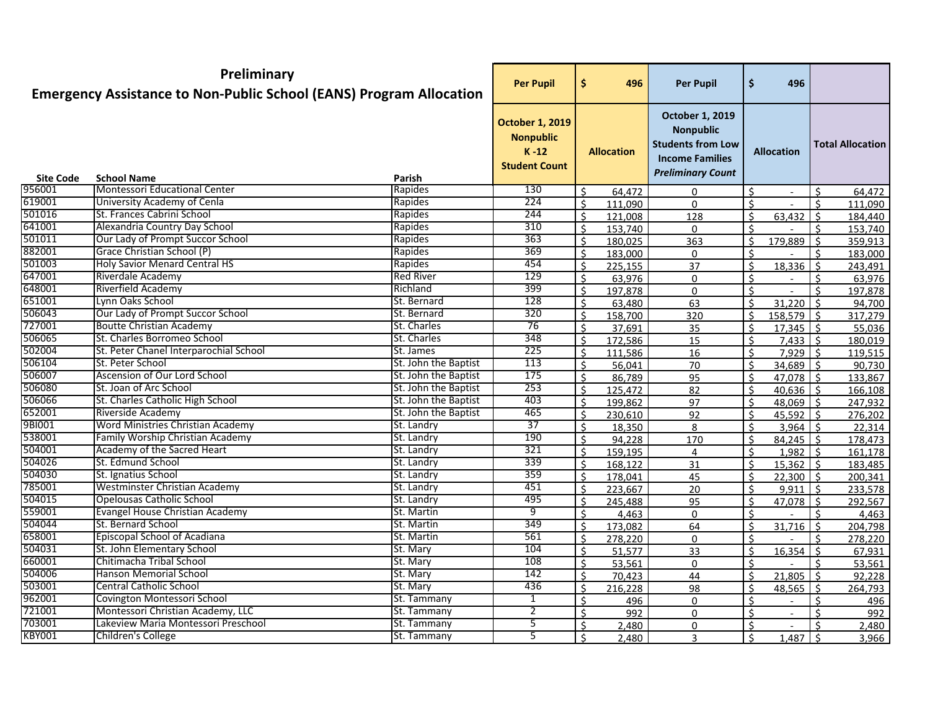|                            | Preliminary<br><b>Emergency Assistance to Non-Public School (EANS) Program Allocation</b> |                      | <b>Per Pupil</b>                                                               | \$           | 496               | <b>Per Pupil</b>                                                                                                             | \$                 | 496                         |                    |                         |
|----------------------------|-------------------------------------------------------------------------------------------|----------------------|--------------------------------------------------------------------------------|--------------|-------------------|------------------------------------------------------------------------------------------------------------------------------|--------------------|-----------------------------|--------------------|-------------------------|
|                            |                                                                                           |                      | <b>October 1, 2019</b><br><b>Nonpublic</b><br>$K - 12$<br><b>Student Count</b> |              | <b>Allocation</b> | <b>October 1, 2019</b><br><b>Nonpublic</b><br><b>Students from Low</b><br><b>Income Families</b><br><b>Preliminary Count</b> |                    | <b>Allocation</b>           |                    | <b>Total Allocation</b> |
| <b>Site Code</b><br>956001 | <b>School Name</b><br>Montessori Educational Center                                       | Parish<br>Rapides    |                                                                                |              |                   |                                                                                                                              |                    |                             |                    |                         |
| 619001                     | University Academy of Cenla                                                               | Rapides              | 130<br>224                                                                     | Ś.           | 64,472            | 0                                                                                                                            | \$                 |                             | $\mathsf{S}$       | 64,472                  |
| 501016                     | St. Frances Cabrini School                                                                | Rapides              | 244                                                                            | $\mathsf{S}$ | 111,090           | $\Omega$                                                                                                                     | $\mathsf{S}$       |                             | $\zeta$            | 111,090                 |
| 641001                     | Alexandria Country Day School                                                             | Rapides              | 310                                                                            | Ŝ.           | 121,008           | 128                                                                                                                          | Ŝ.                 | 63,432                      | Ŝ.                 | 184,440                 |
| 501011                     | Our Lady of Prompt Succor School                                                          | Rapides              | 363                                                                            | Ś.           | 153,740           | $\mathbf{0}$                                                                                                                 | ς                  |                             | ς.                 | 153,740                 |
| 882001                     | Grace Christian School (P)                                                                | Rapides              | 369                                                                            | \$           | 180,025           | 363                                                                                                                          | Ś.                 | 179,889                     | Ŝ.                 | 359,913                 |
| 501003                     | <b>Holy Savior Menard Central HS</b>                                                      | Rapides              | 454                                                                            | \$           | 183,000           | 0                                                                                                                            | Ś.                 |                             | Ŝ.                 | 183,000                 |
| 647001                     | Riverdale Academy                                                                         | <b>Red River</b>     | 129                                                                            | \$           | 225,155           | 37                                                                                                                           | Ŝ.                 | 18,336                      | Ŝ.                 | 243,491                 |
| 648001                     | Riverfield Academy                                                                        | Richland             | 399                                                                            | Ś.           | 63,976            | 0                                                                                                                            | ς                  |                             | ς.<br>¢            | 63,976                  |
| 651001                     | Lynn Oaks School                                                                          | St. Bernard          | 128                                                                            | Ś.           | 197,878           | 0                                                                                                                            | Ŝ.                 |                             |                    | 197,878                 |
| 506043                     | Our Lady of Prompt Succor School                                                          | St. Bernard          | 320                                                                            | Ś.           | 63,480            | 63                                                                                                                           | Ś.<br>$\mathsf{S}$ | 31,220                      | $\mathsf{S}$       | 94,700                  |
| 727001                     | <b>Boutte Christian Academy</b>                                                           | St. Charles          | 76                                                                             | Ś.           | 158,700           | 320                                                                                                                          |                    | $158,579$ \$<br>$17,345$ \$ |                    | 317,279                 |
| 506065                     | St. Charles Borromeo School                                                               | St. Charles          | 348                                                                            | Ś.           | 37,691            | 35                                                                                                                           | Ś.                 |                             |                    | 55,036                  |
| 502004                     | St. Peter Chanel Interparochial School                                                    | St. James            | 225                                                                            | Ś.           | 172,586           | 15                                                                                                                           | Ś.                 | $7,433$ \$                  |                    | 180,019                 |
| 506104                     | St. Peter School                                                                          | St. John the Baptist | 113                                                                            | Ŝ.           | 111,586           | 16                                                                                                                           | \$                 | $7,929$ \$<br>$34,689$ \$   |                    | 119,515                 |
| 506007                     | Ascension of Our Lord School                                                              | St. John the Baptist | 175                                                                            | \$           | 56,041            | 70                                                                                                                           | \$                 |                             |                    | 90,730                  |
| 506080                     | St. Joan of Arc School                                                                    | St. John the Baptist | 253                                                                            | \$           | 86,789            | 95                                                                                                                           | Ŝ.                 | 47,078 \$                   |                    | 133,867                 |
| 506066                     | St. Charles Catholic High School                                                          | St. John the Baptist | 403                                                                            | \$           | 125,472           | 82                                                                                                                           | Ś.<br>\$           | $40,636$ \$                 |                    | 166,108                 |
| 652001                     | Riverside Academy                                                                         | St. John the Baptist | 465                                                                            | Ś.           | 199,862           | 97                                                                                                                           |                    | $48,069$ \$                 |                    | 247,932                 |
| 9BI001                     | <b>Word Ministries Christian Academy</b>                                                  | St. Landry           | 37                                                                             | \$           | 230,610           | 92                                                                                                                           | Ś                  | $45,592$ \$                 |                    | 276,202                 |
| 538001                     | Family Worship Christian Academy                                                          | St. Landry           | 190                                                                            | \$           | 18,350            | 8                                                                                                                            | Ś                  | 3,964                       | $\zeta$            | 22,314                  |
| 504001                     | Academy of the Sacred Heart                                                               | St. Landry           | 321                                                                            | Ś.           | 94,228            | 170                                                                                                                          | Ś.                 | $84,245$ \$                 |                    | 178,473                 |
| 504026                     | St. Edmund School                                                                         | St. Landry           | 339                                                                            | Ś.           | 159,195           | 4                                                                                                                            | Ś.                 | $1,982$ \$                  |                    | 161,178                 |
| 504030                     | St. Ignatius School                                                                       | St. Landry           | 359                                                                            | \$           | 168,122           | 31                                                                                                                           | Ŝ.                 | $15,362$ \$                 |                    | 183,485                 |
| 785001                     | Westminster Christian Academy                                                             | St. Landry           | 451                                                                            | \$           | 178,041           | 45                                                                                                                           | \$                 | $22,300$ \$                 |                    | 200,341                 |
| 504015                     | Opelousas Catholic School                                                                 | St. Landry           | 495                                                                            | \$           | 223,667           | 20                                                                                                                           | Ŝ.                 | $9,911$ \$                  |                    | 233,578                 |
| 559001                     | Evangel House Christian Academy                                                           | St. Martin           | 9                                                                              | \$           | 245,488           | 95                                                                                                                           | Ŝ.<br>\$           | $47,078$ \$                 |                    | 292,567                 |
| 504044                     | St. Bernard School                                                                        | St. Martin           | 349                                                                            | Ś.<br>Ś.     | 4,463             | 0                                                                                                                            |                    |                             | Ŝ.                 | 4,463                   |
| 658001                     | Episcopal School of Acadiana                                                              | St. Martin           | 561                                                                            | \$           | 173,082           | 64                                                                                                                           | . Ś<br>Ś.          | 31,716                      | $\mathsf{S}$       | 204,798                 |
| 504031                     | St. John Elementary School                                                                | St. Mary             | 104                                                                            | \$           | 278,220<br>51,577 | 0<br>33                                                                                                                      | \$                 | $16,354$ \$                 |                    | 278,220<br>67,931       |
| 660001                     | Chitimacha Tribal School                                                                  | St. Mary             | 108                                                                            | Ś.           |                   |                                                                                                                              | Ś.                 |                             | $\dot{\mathsf{S}}$ |                         |
| 504006                     | Hanson Memorial School                                                                    | St. Mary             | 142                                                                            | Š.           | 53,561            | 0                                                                                                                            | Ŝ.                 | $21,805$ \$                 |                    | 53,561                  |
| 503001                     | Central Catholic School                                                                   | St. Mary             | 436                                                                            | Ś.           | 70,423<br>216,228 | 44<br>98                                                                                                                     | Ŝ.                 | $48,565$ \$                 |                    | 92,228                  |
| 962001                     | Covington Montessori School                                                               | St. Tammany          | $\mathbf{1}$                                                                   | Ŝ.           | 496               | 0                                                                                                                            | \$                 | $\sim$                      | Ŝ.                 | 264,793<br>496          |
| 721001                     | Montessori Christian Academy, LLC                                                         | St. Tammany          | $\mathbf{2}$                                                                   | Ŝ.           | 992               | 0                                                                                                                            | \$                 | $\blacksquare$              |                    | 992                     |
| 703001                     | Lakeview Maria Montessori Preschool                                                       | St. Tammany          | 5                                                                              | Ŝ.           | 2,480             | 0                                                                                                                            | Ś.                 |                             |                    | 2,480                   |
| KBY001                     | Children's College                                                                        | St. Tammany          | $\overline{5}$                                                                 | \$           | 2,480             | 3                                                                                                                            | Ŝ.                 | $1,487$ \$                  |                    | 3,966                   |
|                            |                                                                                           |                      |                                                                                |              |                   |                                                                                                                              |                    |                             |                    |                         |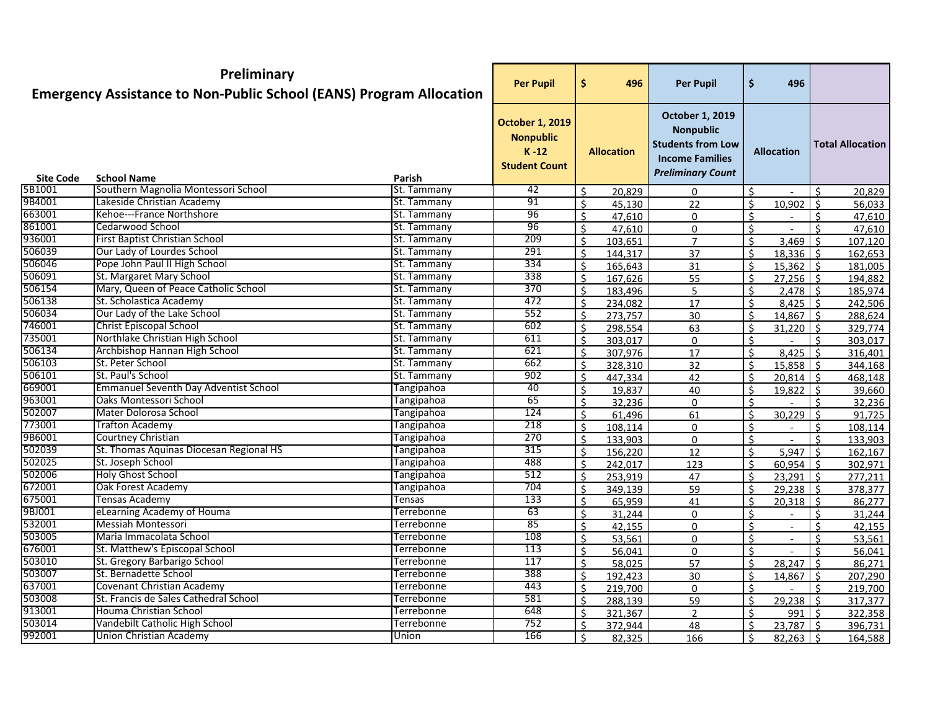|                  | Preliminary<br><b>Emergency Assistance to Non-Public School (EANS) Program Allocation</b> |                            | <b>Per Pupil</b>                                                             | \$<br>496                                | <b>Per Pupil</b>                                                                                                             | \$           | 496                        |              |                         |
|------------------|-------------------------------------------------------------------------------------------|----------------------------|------------------------------------------------------------------------------|------------------------------------------|------------------------------------------------------------------------------------------------------------------------------|--------------|----------------------------|--------------|-------------------------|
|                  |                                                                                           |                            | <b>October 1, 2019</b><br><b>Nonpublic</b><br>$K-12$<br><b>Student Count</b> | <b>Allocation</b>                        | <b>October 1, 2019</b><br><b>Nonpublic</b><br><b>Students from Low</b><br><b>Income Families</b><br><b>Preliminary Count</b> |              | <b>Allocation</b>          |              | <b>Total Allocation</b> |
| <b>Site Code</b> | <b>School Name</b>                                                                        | Parish                     |                                                                              |                                          |                                                                                                                              |              |                            |              |                         |
| 5B1001           | Southern Magnolia Montessori School                                                       | St. Tammany                | 42                                                                           | $\mathsf{S}$<br>20,829                   | 0                                                                                                                            | Ś.           |                            | $\zeta$      | 20,829                  |
| 9B4001<br>663001 | Lakeside Christian Academy<br>Kehoe---France Northshore                                   | St. Tammany                | 91                                                                           | Ś.<br>45,130                             | 22                                                                                                                           | Ŝ.           | 10,902                     | $\vert$ s    | 56,033                  |
| 861001           | Cedarwood School                                                                          | St. Tammany                | 96<br>96                                                                     | $\mathsf{S}$<br>47,610                   | 0                                                                                                                            | ς            |                            | Ŝ.           | 47,610                  |
| 936001           | First Baptist Christian School                                                            | St. Tammany                |                                                                              | Ś.<br>47,610                             | 0                                                                                                                            | Ś            | $\blacksquare$             | Ś.           | 47,610                  |
| 506039           | Our Lady of Lourdes School                                                                | St. Tammany<br>St. Tammany | 209<br>291                                                                   | \$<br>103,651                            | $\overline{7}$                                                                                                               | \$           | 3,469                      | Ŝ.           | 107,120                 |
| 506046           | Pope John Paul II High School                                                             | St. Tammany                | 334                                                                          | \$<br>144,317                            | 37                                                                                                                           | \$           | $18,336$ \$                |              | 162,653                 |
| 506091           | St. Margaret Mary School                                                                  | St. Tammany                | 338                                                                          | \$<br>165,643                            | 31                                                                                                                           | \$           | $15,362$ \$                |              | 181,005                 |
| 506154           | Mary, Queen of Peace Catholic School                                                      | St. Tammany                | 370                                                                          | Ś.<br>167,626                            | 55                                                                                                                           | Ś            | $27,256$ \$                |              | 194,882                 |
| 506138           | St. Scholastica Academy                                                                   | St. Tammany                | 472                                                                          | \$<br>183,496                            | 5                                                                                                                            | $\zeta$      | $2,478$ \$                 |              | 185,974                 |
| 506034           | Our Lady of the Lake School                                                               | St. Tammany                | 552                                                                          | \$<br>234,082                            | 17                                                                                                                           | \$           | $8,425$ \$                 |              | 242,506                 |
| 746001           | <b>Christ Episcopal School</b>                                                            | St. Tammany                | 602                                                                          | Ś.<br>273,757<br>$\mathsf{S}$<br>298,554 | 30                                                                                                                           | Ś.<br>ς      | $14,867$ \$<br>$31,220$ \$ |              | 288,624                 |
| 735001           | Northlake Christian High School                                                           | St. Tammany                | 611                                                                          | Ś.<br>303,017                            | 63                                                                                                                           | Ŝ.           |                            | ¢            | 329,774                 |
| 506134           | Archbishop Hannan High School                                                             | St. Tammany                | 621                                                                          | \$<br>307,976                            | 0<br>17                                                                                                                      | \$           | $8,425$ \$                 |              | 303,017                 |
| 506103           | St. Peter School                                                                          | St. Tammany                | 662                                                                          | \$<br>328,310                            | 32                                                                                                                           | Ś            | $15,858$   \$              |              | 316,401<br>344,168      |
| 506101           | St. Paul's School                                                                         | St. Tammany                | 902                                                                          | \$<br>447,334                            | 42                                                                                                                           | \$           | $20,814$ \$                |              | 468,148                 |
| 669001           | <b>Emmanuel Seventh Day Adventist School</b>                                              | <b>Tangipahoa</b>          | 40                                                                           | Ś.<br>19,837                             | 40                                                                                                                           | \$           | $19,822$ \$                |              | 39,660                  |
| 963001           | Oaks Montessori School                                                                    | <b>Tangipahoa</b>          | 65                                                                           | Ś.<br>32,236                             | 0                                                                                                                            | Ś            |                            | ς            | 32,236                  |
| 502007           | Mater Dolorosa School                                                                     | <b>Tangipahoa</b>          | 124                                                                          | \$<br>61,496                             | 61                                                                                                                           | Ś.           | 30,229                     | $\zeta$      | 91,725                  |
| 773001           | <b>Trafton Academy</b>                                                                    | Tangipahoa                 | 218                                                                          | Ś.<br>108,114                            | 0                                                                                                                            | Ś.           |                            | $\zeta$      | 108,114                 |
| 9B6001           | Courtney Christian                                                                        | <b>Tangipahoa</b>          | 270                                                                          | Ś.<br>133,903                            | $\mathbf 0$                                                                                                                  | Ś.           |                            | $\zeta$      | 133,903                 |
| 502039           | St. Thomas Aquinas Diocesan Regional HS                                                   | <b>Tangipahoa</b>          | 315                                                                          | $\mathsf{S}$<br>156,220                  | 12                                                                                                                           | $\mathsf{S}$ | 5,947                      | $\mathsf{S}$ | 162,167                 |
| 502025           | St. Joseph School                                                                         | <b>Tangipahoa</b>          | 488                                                                          | \$<br>242,017                            | 123                                                                                                                          | \$           | $60,954$ \$                |              | 302,971                 |
| 502006           | <b>Holy Ghost School</b>                                                                  | <b>Tangipahoa</b>          | 512                                                                          | \$<br>253,919                            | 47                                                                                                                           | \$           | $23,291$ \$                |              | 277,211                 |
| 672001           | Oak Forest Academy                                                                        | Tangipahoa                 | 704                                                                          | \$<br>349,139                            | 59                                                                                                                           | \$           | $29,238$ \$                |              | 378,377                 |
| 675001           | Tensas Academy                                                                            | Tensas                     | 133                                                                          | Ś.<br>65,959                             | 41                                                                                                                           | \$           | $20,318$ \$                |              | 86,277                  |
| 9BJ001           | eLearning Academy of Houma                                                                | <b>Terrebonne</b>          | 63                                                                           | Ś.<br>31,244                             | 0                                                                                                                            | Ś            |                            | ς.           | 31,244                  |
| 532001           | Messiah Montessori                                                                        | Terrebonne                 | 85                                                                           | \$<br>42,155                             | 0                                                                                                                            | \$           | $\blacksquare$             | $\mathsf{S}$ | 42,155                  |
| 503005           | Maria Immacolata School                                                                   | <b>Terrebonne</b>          | 108                                                                          | $\mathsf{\hat{S}}$<br>53,561             | $\mathbf 0$                                                                                                                  | \$           | $\blacksquare$             | $\zeta$      | 53,561                  |
| 676001           | St. Matthew's Episcopal School                                                            | Terrebonne                 | 113                                                                          | $\zeta$<br>56,041                        | $\mathsf{O}\xspace$                                                                                                          | 4            |                            | 4            | 56,041                  |
| 503010           | St. Gregory Barbarigo School                                                              | Terrebonne                 | 117                                                                          | $\mathsf{S}$<br>58,025                   | 57                                                                                                                           | ς.           | $28,247$ \$                |              | 86,271                  |
| 503007           | St. Bernadette School                                                                     | Terrebonne                 | 388                                                                          | \$<br>192,423                            | 30                                                                                                                           | Ś            | $14,867$ \$                |              | 207,290                 |
| 637001           | Covenant Christian Academy                                                                | Terrebonne                 | 443                                                                          | \$<br>219,700                            | 0                                                                                                                            | \$           |                            | Ŝ.           | 219,700                 |
| 503008           | St. Francis de Sales Cathedral School                                                     | Terrebonne                 | 581                                                                          | \$<br>288,139                            | 59                                                                                                                           | Ś            | $29,238$ \$                |              | 317,377                 |
| 913001           | Houma Christian School                                                                    | Terrebonne                 | 648                                                                          | \$<br>321,367                            | $\overline{2}$                                                                                                               | Ś.           | 9915                       |              | 322,358                 |
| 503014           | Vandebilt Catholic High School                                                            | Terrebonne                 | 752                                                                          | Ś.<br>372,944                            | 48                                                                                                                           | <sup>5</sup> | $23,787$ \$                |              | 396,731                 |
| 992001           | Union Christian Academy                                                                   | Union                      | 166                                                                          | \$<br>82,325                             | 166                                                                                                                          | Ś.           | $82,263$ \$                |              | 164,588                 |